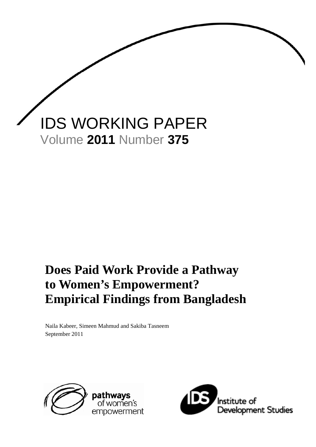

# **Does Paid Work Provide a Pathway to Women's Empowerment? Empirical Findings from Bangladesh**

Naila Kabeer, Simeen Mahmud and Sakiba Tasneem September 2011



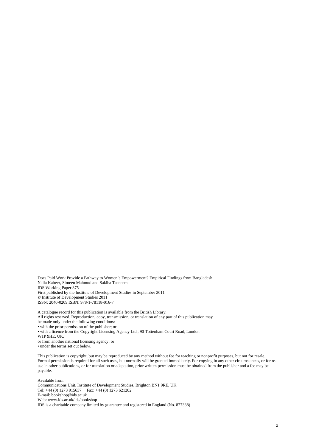Does Paid Work Provide a Pathway to Women's Empowerment? Empirical Findings from Bangladesh Naila Kabeer, Simeen Mahmud and Sakiba Tasneem IDS Working Paper 375 First published by the Institute of Development Studies in September 2011 © Institute of Development Studies 2011 ISSN: 2040-0209 ISBN: 978-1-78118-016-7

A catalogue record for this publication is available from the British Library. All rights reserved. Reproduction, copy, transmission, or translation of any part of this publication may be made only under the following conditions:

• with the prior permission of the publisher; or

• with a licence from the Copyright Licensing Agency Ltd., 90 Tottenham Court Road, London

W1P 9HE, UK,

or from another national licensing agency; or

• under the terms set out below.

This publication is copyright, but may be reproduced by any method without fee for teaching or nonprofit purposes, but not for resale. Formal permission is required for all such uses, but normally will be granted immediately. For copying in any other circumstances, or for reuse in other publications, or for translation or adaptation, prior written permission must be obtained from the publisher and a fee may be payable.

Available from: Communications Unit, Institute of Development Studies, Brighton BN1 9RE, UK Tel: +44 (0) 1273 915637 Fax: +44 (0) 1273 621202 E-mail: bookshop@ids.ac.uk Web: www.ids.ac.uk/ids/bookshop IDS is a charitable company limited by guarantee and registered in England (No. 877338)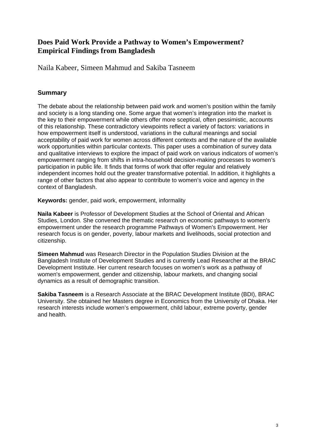## **Does Paid Work Provide a Pathway to Women's Empowerment? Empirical Findings from Bangladesh**

Naila Kabeer, Simeen Mahmud and Sakiba Tasneem

### **Summary**

The debate about the relationship between paid work and women's position within the family and society is a long standing one. Some argue that women's integration into the market is the key to their empowerment while others offer more sceptical, often pessimistic, accounts of this relationship. These contradictory viewpoints reflect a variety of factors: variations in how empowerment itself is understood, variations in the cultural meanings and social acceptability of paid work for women across different contexts and the nature of the available work opportunities within particular contexts. This paper uses a combination of survey data and qualitative interviews to explore the impact of paid work on various indicators of women's empowerment ranging from shifts in intra-household decision-making processes to women's participation in public life. It finds that forms of work that offer regular and relatively independent incomes hold out the greater transformative potential. In addition, it highlights a range of other factors that also appear to contribute to women's voice and agency in the context of Bangladesh.

**Keywords:** gender, paid work, empowerment, informality

**Naila Kabeer** is Professor of Development Studies at the School of Oriental and African Studies, London. She convened the thematic research on economic pathways to women's empowerment under the research programme Pathways of Women's Empowerment. Her research focus is on gender, poverty, labour markets and livelihoods, social protection and citizenship.

**Simeen Mahmud** was Research Director in the Population Studies Division at the Bangladesh Institute of Development Studies and is currently Lead Researcher at the BRAC Development Institute. Her current research focuses on women's work as a pathway of women's empowerment, gender and citizenship, labour markets, and changing social dynamics as a result of demographic transition.

**Sakiba Tasneem** is a Research Associate at the BRAC Development Institute (BDI), BRAC University. She obtained her Masters degree in Economics from the University of Dhaka. Her research interests include women's empowerment, child labour, extreme poverty, gender and health.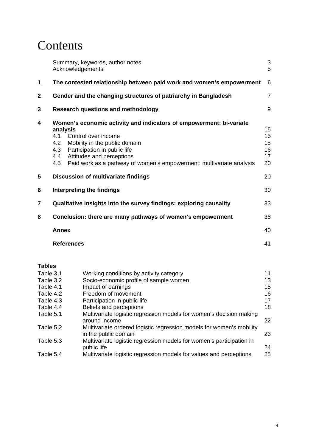# **Contents**

|                | Summary, keywords, author notes<br>Acknowledgements                                                                                                                                                                                                                                                             | $\sqrt{3}$<br>5                  |
|----------------|-----------------------------------------------------------------------------------------------------------------------------------------------------------------------------------------------------------------------------------------------------------------------------------------------------------------|----------------------------------|
| 1              | The contested relationship between paid work and women's empowerment                                                                                                                                                                                                                                            | 6                                |
| $\mathbf 2$    | Gender and the changing structures of patriarchy in Bangladesh                                                                                                                                                                                                                                                  | $\overline{7}$                   |
| 3              | <b>Research questions and methodology</b>                                                                                                                                                                                                                                                                       | 9                                |
| 4              | Women's economic activity and indicators of empowerment: bi-variate<br>analysis<br>4.1<br>Control over income<br>4.2<br>Mobility in the public domain<br>4.3<br>Participation in public life<br>Attitudes and perceptions<br>4.4<br>Paid work as a pathway of women's empowerment: multivariate analysis<br>4.5 | 15<br>15<br>15<br>16<br>17<br>20 |
| 5              | <b>Discussion of multivariate findings</b>                                                                                                                                                                                                                                                                      | 20                               |
| 6              | Interpreting the findings                                                                                                                                                                                                                                                                                       | 30                               |
| $\overline{7}$ | Qualitative insights into the survey findings: exploring causality                                                                                                                                                                                                                                              | 33                               |
| 8              | Conclusion: there are many pathways of women's empowerment                                                                                                                                                                                                                                                      | 38                               |
|                | <b>Annex</b>                                                                                                                                                                                                                                                                                                    | 40                               |
|                | <b>References</b>                                                                                                                                                                                                                                                                                               | 41                               |
|                |                                                                                                                                                                                                                                                                                                                 |                                  |

### **Tables**

| Table 3.1 | Working conditions by activity category                                                      | 11 |
|-----------|----------------------------------------------------------------------------------------------|----|
| Table 3.2 | Socio-economic profile of sample women                                                       | 13 |
| Table 4.1 | Impact of earnings                                                                           | 15 |
| Table 4.2 | Freedom of movement                                                                          | 16 |
| Table 4.3 | Participation in public life                                                                 | 17 |
| Table 4.4 | Beliefs and perceptions                                                                      | 18 |
| Table 5.1 | Multivariate logistic regression models for women's decision making<br>around income         | 22 |
| Table 5.2 | Multivariate ordered logistic regression models for women's mobility<br>in the public domain | 23 |
| Table 5.3 | Multivariate logistic regression models for women's participation in<br>public life          | 24 |
| Table 5.4 | Multivariate logistic regression models for values and perceptions                           | 28 |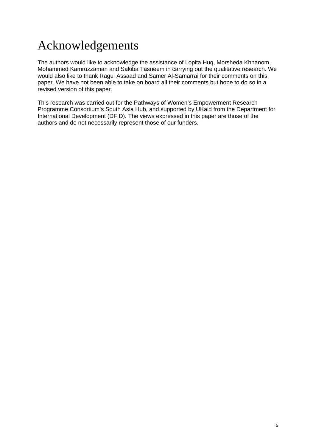# Acknowledgements

The authors would like to acknowledge the assistance of Lopita Huq, Morsheda Khnanom, Mohammed Kamruzzaman and Sakiba Tasneem in carrying out the qualitative research. We would also like to thank Ragui Assaad and Samer Al-Samarrai for their comments on this paper. We have not been able to take on board all their comments but hope to do so in a revised version of this paper.

This research was carried out for the Pathways of Women's Empowerment Research Programme Consortium's South Asia Hub, and supported by UKaid from the Department for International Development (DFID). The views expressed in this paper are those of the authors and do not necessarily represent those of our funders.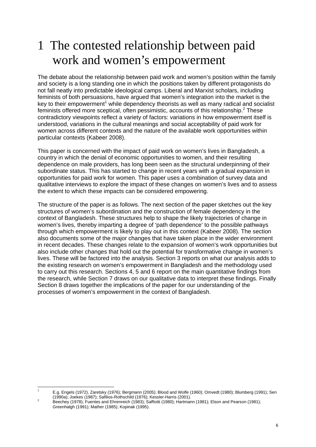# 1 The contested relationship between paid work and women's empowerment

The debate about the relationship between paid work and women's position within the family and society is a long standing one in which the positions taken by different protagonists do not fall neatly into predictable ideological camps. Liberal and Marxist scholars, including feminists of both persuasions, have argued that women's integration into the market is the key to their empowerment<sup>1</sup> while dependency theorists as well as many radical and socialist feminists offered more sceptical, often pessimistic, accounts of this relationship.<sup>2</sup> These contradictory viewpoints reflect a variety of factors: variations in how empowerment itself is understood, variations in the cultural meanings and social acceptability of paid work for women across different contexts and the nature of the available work opportunities within particular contexts (Kabeer 2008).

This paper is concerned with the impact of paid work on women's lives in Bangladesh, a country in which the denial of economic opportunities to women, and their resulting dependence on male providers, has long been seen as the structural underpinning of their subordinate status. This has started to change in recent years with a gradual expansion in opportunities for paid work for women. This paper uses a combination of survey data and qualitative interviews to explore the impact of these changes on women's lives and to assess the extent to which these impacts can be considered empowering.

The structure of the paper is as follows. The next section of the paper sketches out the key structures of women's subordination and the construction of female dependency in the context of Bangladesh. These structures help to shape the likely trajectories of change in women's lives, thereby imparting a degree of 'path dependence' to the possible pathways through which empowerment is likely to play out in this context (Kabeer 2008). The section also documents some of the major changes that have taken place in the wider environment in recent decades. These changes relate to the expansion of women's work opportunities but also include other changes that hold out the potential for transformative change in women's lives. These will be factored into the analysis. Section 3 reports on what our analysis adds to the existing research on women's empowerment in Bangladesh and the methodology used to carry out this research. Sections 4, 5 and 6 report on the main quantitative findings from the research, while Section 7 draws on our qualitative data to interpret these findings. Finally Section 8 draws together the implications of the paper for our understanding of the processes of women's empowerment in the context of Bangladesh.

 1 E.g. Engels (1972), Zaretsky (1976); Bergmann (2005); Blood and Wolfe (1960); Omvedt (1980); Blumberg (1991); Sen (1990a); Joekes (1987); Safilios-Rothschild (1976); Kessler-Harris (2001). 2

Beechey (1978); Fuentes and Ehrenreich (1983); Saffiotti (1980); Hartmann (1981); Elson and Pearson (1981); Greenhalgh (1991); Mather (1985); Kopinak (1995).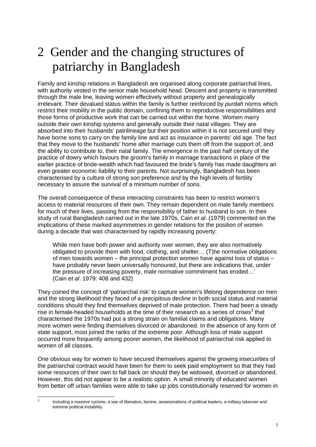# 2 Gender and the changing structures of patriarchy in Bangladesh

Family and kinship relations in Bangladesh are organised along corporate patriarchal lines, with authority vested in the senior male household head. Descent and property is transmitted through the male line, leaving women effectively without property and genealogically irrelevant. Their devalued status within the family is further reinforced by *purdah* norms which restrict their mobility in the public domain, confining them to reproductive responsibilities and those forms of productive work that can be carried out within the home. Women marry outside their own kinship systems and generally outside their natal villages. They are absorbed into their husbands' patrilineage but their position within it is not secured until they have borne sons to carry on the family line and act as insurance in parents' old age. The fact that they move to the husbands' home after marriage cuts them off from the support of, and the ability to contribute to, their natal family. The emergence in the past half century of the practice of dowry which favours the groom's family in marriage transactions in place of the earlier practice of bride-wealth which had favoured the bride's family has made daughters an even greater economic liability to their parents. Not surprisingly, Bangladesh has been characterised by a culture of strong son preference and by the high levels of fertility necessary to assure the survival of a minimum number of sons.

The overall consequence of these interacting constraints has been to restrict women's access to material resources of their own. They remain dependent on male family members for much of their lives, passing from the responsibility of father to husband to son. In their study of rural Bangladesh carried out in the late 1970s, Cain *et al*. (1979) commented on the implications of these marked asymmetries in gender relations for the position of women during a decade that was characterised by rapidly increasing poverty:

While men have both power and authority over women, they are also normatively obligated to provide them with food, clothing, and shelter… (T)he normative obligations of men towards women – the principal protection women have against loss of status – have probably never been universally honoured, but there are indications that, under the pressure of increasing poverty, male normative commitment has eroded…' (Cain *et al*. 1979: 408 and 432)

They coined the concept of 'patriarchal risk' to capture women's lifelong dependence on men and the strong likelihood they faced of a precipitous decline in both social status and material conditions should they find themselves deprived of male protection. There had been a steady rise in female-headed households at the time of their research as a series of crises $3$  that characterised the 1970s had put a strong strain on familial claims and obligations. Many more women were finding themselves divorced or abandoned. In the absence of any form of state support, most joined the ranks of the extreme poor. Although loss of male support occurred more frequently among poorer women, the likelihood of patriarchal risk applied to women of all classes.

One obvious way for women to have secured themselves against the growing insecurities of the patriarchal contract would have been for them to seek paid employment so that they had some resources of their own to fall back on should they be widowed, divorced or abandoned. However, this did not appear to be a realistic option. A small minority of educated women from better off urban families were able to take up jobs constitutionally reserved for women in

 3 Including a massive cyclone, a war of liberation, famine, assassinations of political leaders, a military takeover and extreme political instability.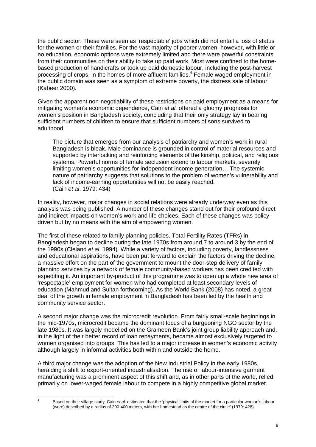the public sector. These were seen as 'respectable' jobs which did not entail a loss of status for the women or their families. For the vast majority of poorer women, however, with little or no education, economic options were extremely limited and there were powerful constraints from their communities on their ability to take up paid work. Most were confined to the homebased production of handicrafts or took up paid domestic labour, including the post-harvest processing of crops, in the homes of more affluent families.<sup>4</sup> Female waged employment in the public domain was seen as a symptom of extreme poverty, the distress sale of labour (Kabeer 2000).

Given the apparent non-negotiability of these restrictions on paid employment as a means for mitigating women's economic dependence, Cain *et al.* offered a gloomy prognosis for women's position in Bangladesh society, concluding that their only strategy lay in bearing sufficient numbers of children to ensure that sufficient numbers of sons survived to adulthood:

The picture that emerges from our analysis of patriarchy and women's work in rural Bangladesh is bleak. Male dominance is grounded in control of material resources and supported by interlocking and reinforcing elements of the kinship, political, and religious systems. Powerful norms of female seclusion extend to labour markets, severely limiting women's opportunities for independent income generation… The systemic nature of patriarchy suggests that solutions to the problem of women's vulnerability and lack of income-earning opportunities will not be easily reached. (Cain *et al*. 1979: 434)

In reality, however, major changes in social relations were already underway even as this analysis was being published. A number of these changes stand out for their profound direct and indirect impacts on women's work and life choices. Each of these changes was policydriven but by no means with the aim of empowering women.

The first of these related to family planning policies. Total Fertility Rates (TFRs) in Bangladesh began to decline during the late 1970s from around 7 to around 3 by the end of the 1990s (Cleland *et al.* 1994). While a variety of factors, including poverty, landlessness and educational aspirations, have been put forward to explain the factors driving the decline, a massive effort on the part of the government to mount the door-step delivery of family planning services by a network of female community-based workers has been credited with expediting it. An important by-product of this programme was to open up a whole new area of 'respectable' employment for women who had completed at least secondary levels of education (Mahmud and Sultan forthcoming). As the World Bank (2008) has noted, a great deal of the growth in female employment in Bangladesh has been led by the health and community service sector.

A second major change was the microcredit revolution. From fairly small-scale beginnings in the mid-1970s, microcredit became the dominant focus of a burgeoning NGO sector by the late 1980s. It was largely modelled on the Grameen Bank's joint group liability approach and, in the light of their better record of loan repayments, became almost exclusively targeted to women organised into groups. This has led to a major increase in women's economic activity although largely in informal activities both within and outside the home.

A third major change was the adoption of the New Industrial Policy in the early 1980s, heralding a shift to export-oriented industrialisation. The rise of labour-intensive garment manufacturing was a prominent aspect of this shift and, as in other parts of the world, relied primarily on lower-waged female labour to compete in a highly competitive global market.

 4 Based on their village study, Cain *et al.* estimated that the 'physical limits of the market for a particular woman's labour (were) described by a radius of 200-400 meters, with her homestead as the centre of the circle' (1979: 428).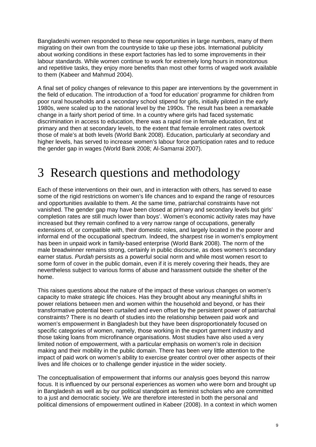Bangladeshi women responded to these new opportunities in large numbers, many of them migrating on their own from the countryside to take up these jobs. International publicity about working conditions in these export factories has led to some improvements in their labour standards. While women continue to work for extremely long hours in monotonous and repetitive tasks, they enjoy more benefits than most other forms of waged work available to them (Kabeer and Mahmud 2004).

A final set of policy changes of relevance to this paper are interventions by the government in the field of education. The introduction of a 'food for education' programme for children from poor rural households and a secondary school stipend for girls, initially piloted in the early 1980s, were scaled up to the national level by the 1990s. The result has been a remarkable change in a fairly short period of time. In a country where girls had faced systematic discrimination in access to education, there was a rapid rise in female education, first at primary and then at secondary levels, to the extent that female enrolment rates overtook those of male's at both levels (World Bank 2008). Education, particularly at secondary and higher levels, has served to increase women's labour force participation rates and to reduce the gender gap in wages (World Bank 2008; Al-Samarrai 2007).

# 3 Research questions and methodology

Each of these interventions on their own, and in interaction with others, has served to ease some of the rigid restrictions on women's life chances and to expand the range of resources and opportunities available to them. At the same time, patriarchal constraints have not vanished. The gender gap may have been closed at primary and secondary levels but girls' completion rates are still much lower than boys'. Women's economic activity rates may have increased but they remain confined to a very narrow range of occupations, generally extensions of, or compatible with, their domestic roles, and largely located in the poorer and informal end of the occupational spectrum. Indeed, the sharpest rise in women's employment has been in unpaid work in family-based enterprise (World Bank 2008). The norm of the male breadwinner remains strong, certainly in public discourse, as does women's secondary earner status. *Purdah* persists as a powerful social norm and while most women resort to some form of cover in the public domain, even if it is merely covering their heads, they are nevertheless subject to various forms of abuse and harassment outside the shelter of the home.

This raises questions about the nature of the impact of these various changes on women's capacity to make strategic life choices. Has they brought about any meaningful shifts in power relations between men and women within the household and beyond, or has their transformative potential been curtailed and even offset by the persistent power of patriarchal constraints? There is no dearth of studies into the relationship between paid work and women's empowerment in Bangladesh but they have been disproportionately focused on specific categories of women, namely, those working in the export garment industry and those taking loans from microfinance organisations. Most studies have also used a very limited notion of empowerment, with a particular emphasis on women's role in decision making and their mobility in the public domain. There has been very little attention to the impact of paid work on women's ability to exercise greater control over other aspects of their lives and life choices or to challenge gender injustice in the wider society.

The conceptualisation of empowerment that informs our analysis goes beyond this narrow focus. It is influenced by our personal experiences as women who were born and brought up in Bangladesh as well as by our political standpoint as feminist scholars who are committed to a just and democratic society. We are therefore interested in both the personal and political dimensions of empowerment outlined in Kabeer (2008). In a context in which women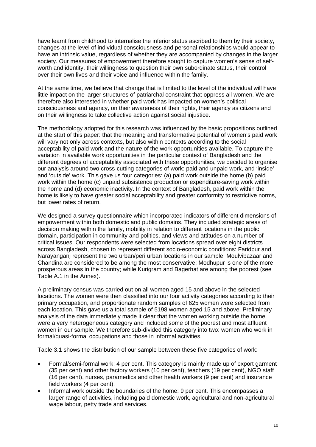have learnt from childhood to internalise the inferior status ascribed to them by their society, changes at the level of individual consciousness and personal relationships would appear to have an intrinsic value, regardless of whether they are accompanied by changes in the larger society. Our measures of empowerment therefore sought to capture women's sense of selfworth and identity, their willingness to question their own subordinate status, their control over their own lives and their voice and influence within the family.

At the same time, we believe that change that is limited to the level of the individual will have little impact on the larger structures of patriarchal constraint that oppress all women. We are therefore also interested in whether paid work has impacted on women's political consciousness and agency, on their awareness of their rights, their agency as citizens and on their willingness to take collective action against social injustice.

The methodology adopted for this research was influenced by the basic propositions outlined at the start of this paper: that the meaning and transformative potential of women's paid work will vary not only across contexts, but also within contexts according to the social acceptability of paid work and the nature of the work opportunities available. To capture the variation in available work opportunities in the particular context of Bangladesh and the different degrees of acceptability associated with these opportunities, we decided to organise our analysis around two cross-cutting categories of work: paid and unpaid work, and 'inside' and 'outside' work. This gave us four categories: (a) paid work outside the home (b) paid work within the home (c) unpaid subsistence production or expenditure-saving work within the home and (d) economic inactivity. In the context of Bangladesh, paid work within the home is likely to have greater social acceptability and greater conformity to restrictive norms, but lower rates of return.

We designed a survey questionnaire which incorporated indicators of different dimensions of empowerment within both domestic and public domains. They included strategic areas of decision making within the family, mobility in relation to different locations in the public domain, participation in community and politics, and views and attitudes on a number of critical issues. Our respondents were selected from locations spread over eight districts across Bangladesh, chosen to represent different socio-economic conditions: Faridpur and Narayanganj represent the two urban/peri urban locations in our sample; Moulvibazaar and Chandina are considered to be among the most conservative; Modhupur is one of the more prosperous areas in the country; while Kurigram and Bagerhat are among the poorest (see Table A.1 in the Annex).

A preliminary census was carried out on all women aged 15 and above in the selected locations. The women were then classified into our four activity categories according to their primary occupation, and proportionate random samples of 625 women were selected from each location. This gave us a total sample of 5198 women aged 15 and above. Preliminary analysis of the data immediately made it clear that the women working outside the home were a very heterogeneous category and included some of the poorest and most affluent women in our sample. We therefore sub-divided this category into two: women who work in formal/quasi-formal occupations and those in informal activities.

Table 3.1 shows the distribution of our sample between these five categories of work:

- Formal/semi-formal work: 4 per cent. This category is mainly made up of export garment (35 per cent) and other factory workers (10 per cent), teachers (19 per cent), NGO staff (16 per cent), nurses, paramedics and other health workers (9 per cent) and insurance field workers (4 per cent).
- Informal work outside the boundaries of the home: 9 per cent. This encompasses a larger range of activities, including paid domestic work, agricultural and non-agricultural wage labour, petty trade and services.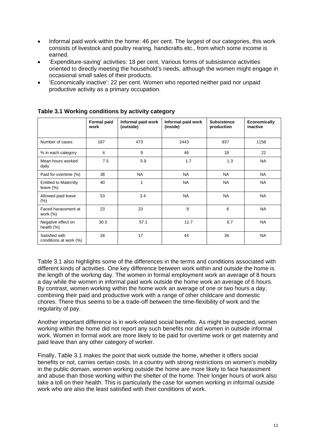- Informal paid work within the home: 46 per cent. The largest of our categories, this work consists of livestock and poultry rearing, handicrafts etc., from which some income is earned.
- 'Expenditure-saving' activities: 18 per cent. Various forms of subsistence activities oriented to directly meeting the household's needs, although the women might engage in occasional small sales of their products.
- 'Economically inactive': 22 per cent. Women who reported neither paid nor unpaid productive activity as a primary occupation.

|                                              | Formal paid<br>work | Informal paid work<br>(outside) | Informal paid work<br>(inside) | <b>Subsistence</b><br>production | <b>Economically</b><br>inactive |
|----------------------------------------------|---------------------|---------------------------------|--------------------------------|----------------------------------|---------------------------------|
| Number of cases                              | 187                 | 473                             | 2443                           | 937                              | 1158                            |
| % in each category                           | 4                   | 9                               | 46                             | 18                               | 22                              |
| Mean hours worked<br>daily                   | 7.5                 | 5.9                             | 1.7                            | 1.3                              | <b>NA</b>                       |
| Paid for overtime (%)                        | 38                  | <b>NA</b>                       | <b>NA</b>                      | <b>NA</b>                        | <b>NA</b>                       |
| <b>Entitled to Maternity</b><br>leave $(\%)$ | 40                  | 1                               | <b>NA</b>                      | <b>NA</b>                        | <b>NA</b>                       |
| Allowed paid leave<br>$(\% )$                | 53                  | 3.4                             | <b>NA</b>                      | <b>NA</b>                        | <b>NA</b>                       |
| Faced harassment at<br>work $(%)$            | 23                  | 23                              | 9                              | 6                                | <b>NA</b>                       |
| Negative effect on<br>health $(\%)$          | 30.5                | 57.1                            | 11.7                           | 6.7                              | <b>NA</b>                       |
| Satisfied with<br>conditions at work (%)     | 34                  | 17                              | 44                             | 36                               | <b>NA</b>                       |

**Table 3.1 Working conditions by activity category** 

Table 3.1 also highlights some of the differences in the terms and conditions associated with different kinds of activities. One key difference between work within and outside the home is the length of the working day. The women in formal employment work an average of 8 hours a day while the women in informal paid work outside the home work an average of 6 hours. By contrast, women working within the home work an average of one or two hours a day, combining their paid and productive work with a range of other childcare and domestic chores. There thus seems to be a trade-off between the time-flexibility of work and the regularity of pay.

Another important difference is in work-related social benefits. As might be expected, women working within the home did not report any such benefits nor did women in outside informal work. Women in formal work are more likely to be paid for overtime work or get maternity and paid leave than any other category of worker.

Finally, Table 3.1 makes the point that work outside the home, whether it offers social benefits or not, carries certain costs. In a country with strong restrictions on women's mobility in the public domain, women working outside the home are more likely to face harassment and abuse than those working within the shelter of the home. Their longer hours of work also take a toll on their health. This is particularly the case for women working in informal outside work who are also the least satisfied with their conditions of work.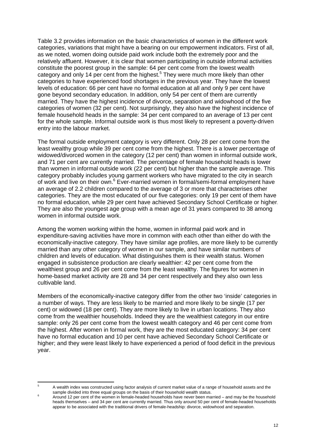Table 3.2 provides information on the basic characteristics of women in the different work categories, variations that might have a bearing on our empowerment indicators. First of all, as we noted, women doing outside paid work include both the extremely poor and the relatively affluent. However, it is clear that women participating in outside informal activities constitute the poorest group in the sample: 64 per cent come from the lowest wealth category and only 14 per cent from the highest.<sup>5</sup> They were much more likely than other categories to have experienced food shortages in the previous year. They have the lowest levels of education: 66 per cent have no formal education at all and only 9 per cent have gone beyond secondary education. In addition, only 54 per cent of them are currently married. They have the highest incidence of divorce, separation and widowhood of the five categories of women (32 per cent). Not surprisingly, they also have the highest incidence of female household heads in the sample: 34 per cent compared to an average of 13 per cent for the whole sample. Informal outside work is thus most likely to represent a poverty-driven entry into the labour market.

The formal outside employment category is very different. Only 28 per cent come from the least wealthy group while 39 per cent come from the highest. There is a lower percentage of widowed/divorced women in the category (12 per cent) than women in informal outside work, and 71 per cent are currently married. The percentage of female household heads is lower than women in informal outside work (22 per cent) but higher than the sample average. This category probably includes young garment workers who have migrated to the city in search of work and live on their own.<sup>6</sup> Ever-married women in formal/semi-formal employment have an average of 2.2 children compared to the average of 3 or more that characterises other categories. They are the most educated of our five categories: only 19 per cent of them have no formal education, while 29 per cent have achieved Secondary School Certificate or higher. They are also the youngest age group with a mean age of 31 years compared to 38 among women in informal outside work.

Among the women working within the home, women in informal paid work and in expenditure-saving activities have more in common with each other than either do with the economically-inactive category. They have similar age profiles, are more likely to be currently married than any other category of women in our sample, and have similar numbers of children and levels of education. What distinguishes them is their wealth status. Women engaged in subsistence production are clearly wealthier: 42 per cent come from the wealthiest group and 26 per cent come from the least wealthy. The figures for women in home-based market activity are 28 and 34 per cent respectively and they also own less cultivable land.

Members of the economically-inactive category differ from the other two 'inside' categories in a number of ways. They are less likely to be married and more likely to be single (17 per cent) or widowed (18 per cent). They are more likely to live in urban locations. They also come from the wealthier households. Indeed they are the wealthiest category in our entire sample: only 26 per cent come from the lowest wealth category and 46 per cent come from the highest. After women in formal work, they are the most educated category: 34 per cent have no formal education and 10 per cent have achieved Secondary School Certificate or higher; and they were least likely to have experienced a period of food deficit in the previous year.

<sup>5</sup> A wealth index was constructed using factor analysis of current market value of a range of household assets and the sample divided into three equal groups on the basis of their household wealth status.

Around 12 per cent of the women in female-headed households have never been married – and may be the household heads themselves – and 34 per cent are currently married. Thus only around 50 per cent of female-headed households appear to be associated with the traditional drivers of female-headship: divorce, widowhood and separation.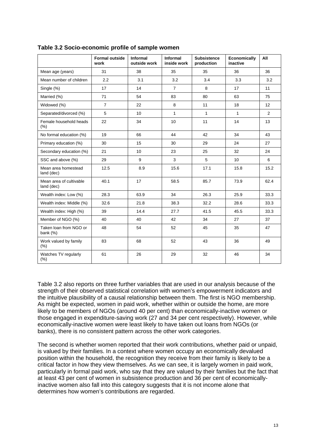|                                       | <b>Formal outside</b><br>work | Informal<br>outside work | Informal<br>inside work | <b>Subsistence</b><br>production | Economically<br>inactive | All            |
|---------------------------------------|-------------------------------|--------------------------|-------------------------|----------------------------------|--------------------------|----------------|
| Mean age (years)                      | 31                            | 38                       | 35                      | 35                               | 36                       | 36             |
| Mean number of children               | 2.2                           | 3.1                      | 3.2                     | 3.4                              | 3.3                      | 3.2            |
| Single (%)                            | 17                            | 14                       | $\overline{7}$          | 8                                | 17                       | 11             |
| Married (%)                           | 71                            | 54                       | 83                      | 80                               | 63                       | 75             |
| Widowed (%)                           | $\overline{7}$                | 22                       | 8                       | 11                               | 18                       | 12             |
| Separated/divorced (%)                | 5                             | 10                       | $\mathbf{1}$            | $\mathbf{1}$                     | $\mathbf{1}$             | $\overline{2}$ |
| Female household heads<br>(% )        | 22                            | 34                       | 10                      | 11                               | 14                       | 13             |
| No formal education (%)               | 19                            | 66                       | 44                      | 42                               | 34                       | 43             |
| Primary education (%)                 | 30                            | 15                       | 30                      | 29                               | 24                       | 27             |
| Secondary education (%)               | 21                            | 10                       | 23                      | 25                               | 32                       | 24             |
| SSC and above (%)                     | 29                            | 9                        | 3                       | 5                                | 10                       | 6              |
| Mean area homestead<br>land (dec)     | 12.5                          | 8.9                      | 15.6                    | 17.1                             | 15.8                     | 15.2           |
| Mean area of cultivable<br>land (dec) | 40.1                          | 17                       | 58.5                    | 85.7                             | 73.9                     | 62.4           |
| Wealth index: Low (%)                 | 28.3                          | 63.9                     | 34                      | 26.3                             | 25.9                     | 33.3           |
| Wealth index: Middle (%)              | 32.6                          | 21.8                     | 38.3                    | 32.2                             | 28.6                     | 33.3           |
| Wealth index: High (%)                | 39                            | 14.4                     | 27.7                    | 41.5                             | 45.5                     | 33.3           |
| Member of NGO (%)                     | 40                            | 40                       | 42                      | 34                               | 27                       | 37             |
| Taken loan from NGO or<br>bank (%)    | 48                            | 54                       | 52                      | 45                               | 35                       | 47             |
| Work valued by family<br>(% )         | 83                            | 68                       | 52                      | 43                               | 36                       | 49             |
| Watches TV regularly<br>$(\%)$        | 61                            | 26                       | 29                      | 32                               | 46                       | 34             |

### **Table 3.2 Socio-economic profile of sample women**

Table 3.2 also reports on three further variables that are used in our analysis because of the strength of their observed statistical correlation with women's empowerment indicators and the intuitive plausibility of a causal relationship between them. The first is NGO membership. As might be expected, women in paid work, whether within or outside the home, are more likely to be members of NGOs (around 40 per cent) than economically-inactive women or those engaged in expenditure-saving work (27 and 34 per cent respectively). However, while economically-inactive women were least likely to have taken out loans from NGOs (or banks), there is no consistent pattern across the other work categories.

The second is whether women reported that their work contributions, whether paid or unpaid, is valued by their families. In a context where women occupy an economically devalued position within the household, the recognition they receive from their family is likely to be a critical factor in how they view themselves. As we can see, it is largely women in paid work, particularly in formal paid work, who say that they are valued by their families but the fact that at least 43 per cent of women in subsistence production and 36 per cent of economicallyinactive women also fall into this category suggests that it is not income alone that determines how women's contributions are regarded.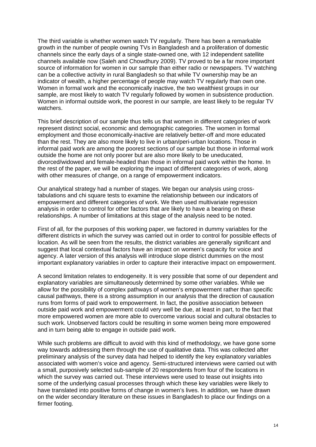The third variable is whether women watch TV regularly. There has been a remarkable growth in the number of people owning TVs in Bangladesh and a proliferation of domestic channels since the early days of a single state-owned one, with 12 independent satellite channels available now (Saleh and Chowdhury 2009). TV proved to be a far more important source of information for women in our sample than either radio or newspapers. TV watching can be a collective activity in rural Bangladesh so that while TV ownership may be an indicator of wealth, a higher percentage of people may watch TV regularly than own one. Women in formal work and the economically inactive, the two wealthiest groups in our sample, are most likely to watch TV regularly followed by women in subsistence production. Women in informal outside work, the poorest in our sample, are least likely to be regular TV watchers.

This brief description of our sample thus tells us that women in different categories of work represent distinct social, economic and demographic categories. The women in formal employment and those economically-inactive are relatively better-off and more educated than the rest. They are also more likely to live in urban/peri-urban locations. Those in informal paid work are among the poorest sections of our sample but those in informal work outside the home are not only poorer but are also more likely to be uneducated, divorced/widowed and female-headed than those in informal paid work within the home. In the rest of the paper, we will be exploring the impact of different categories of work, along with other measures of change, on a range of empowerment indicators.

Our analytical strategy had a number of stages. We began our analysis using crosstabulations and chi square tests to examine the relationship between our indicators of empowerment and different categories of work. We then used multivariate regression analysis in order to control for other factors that are likely to have a bearing on these relationships. A number of limitations at this stage of the analysis need to be noted.

First of all, for the purposes of this working paper, we factored in dummy variables for the different districts in which the survey was carried out in order to control for possible effects of location. As will be seen from the results, the district variables are generally significant and suggest that local contextual factors have an impact on women's capacity for voice and agency. A later version of this analysis will introduce slope district dummies on the most important explanatory variables in order to capture their interactive impact on empowerment.

A second limitation relates to endogeneity. It is very possible that some of our dependent and explanatory variables are simultaneously determined by some other variables. While we allow for the possibility of complex pathways of women's empowerment rather than specific causal pathways, there is a strong assumption in our analysis that the direction of causation runs from forms of paid work to empowerment. In fact, the positive association between outside paid work and empowerment could very well be due, at least in part, to the fact that more empowered women are more able to overcome various social and cultural obstacles to such work. Unobserved factors could be resulting in some women being more empowered and in turn being able to engage in outside paid work.

While such problems are difficult to avoid with this kind of methodology, we have gone some way towards addressing them through the use of qualitative data. This was collected after preliminary analysis of the survey data had helped to identify the key explanatory variables associated with women's voice and agency. Semi-structured interviews were carried out with a small, purposively selected sub-sample of 20 respondents from four of the locations in which the survey was carried out. These interviews were used to tease out insights into some of the underlying casual processes through which these key variables were likely to have translated into positive forms of change in women's lives. In addition, we have drawn on the wider secondary literature on these issues in Bangladesh to place our findings on a firmer footing.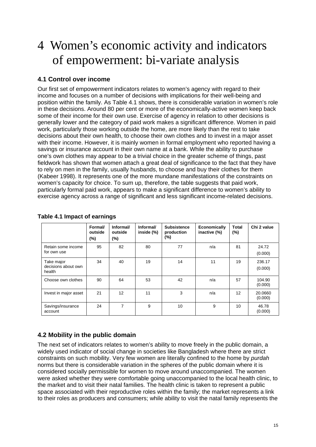# 4 Women's economic activity and indicators of empowerment: bi-variate analysis

### **4.1 Control over income**

Our first set of empowerment indicators relates to women's agency with regard to their income and focuses on a number of decisions with implications for their well-being and position within the family. As Table 4.1 shows, there is considerable variation in women's role in these decisions. Around 80 per cent or more of the economically-active women keep back some of their income for their own use. Exercise of agency in relation to other decisions is generally lower and the category of paid work makes a significant difference. Women in paid work, particularly those working outside the home, are more likely than the rest to take decisions about their own health, to choose their own clothes and to invest in a major asset with their income. However, it is mainly women in formal employment who reported having a savings or insurance account in their own name at a bank. While the ability to purchase one's own clothes may appear to be a trivial choice in the greater scheme of things, past fieldwork has shown that women attach a great deal of significance to the fact that they have to rely on men in the family, usually husbands, to choose and buy their clothes for them (Kabeer 1998). It represents one of the more mundane manifestations of the constraints on women's capacity for choice. To sum up, therefore, the table suggests that paid work, particularly formal paid work, appears to make a significant difference to women's ability to exercise agency across a range of significant and less significant income-related decisions.

|                                             | Formal/<br>outside<br>$(\%)$ | Informal/<br>outside<br>(%) | Informal/<br>inside (%) | <b>Subsistence</b><br>production<br>(%) | <b>Economically</b><br>inactive (%) | Total<br>(%) | Chi 2 value        |
|---------------------------------------------|------------------------------|-----------------------------|-------------------------|-----------------------------------------|-------------------------------------|--------------|--------------------|
| Retain some income<br>for own use           | 95                           | 82                          | 80                      | 77                                      | n/a                                 | 81           | 24.72<br>(0.000)   |
| Take major<br>decisions about own<br>health | 34                           | 40                          | 19                      | 14                                      | 11                                  | 19           | 236.17<br>(0.000)  |
| Choose own clothes                          | 90                           | 64                          | 53                      | 42                                      | n/a                                 | 57           | 104.90<br>(0.000)  |
| Invest in major asset                       | 21                           | 12                          | 11                      | 3                                       | n/a                                 | 12           | 20.0660<br>(0.000) |
| Savings/insurance<br>account                | 24                           | $\overline{7}$              | 9                       | 10                                      | 9                                   | 10           | 46.78<br>(0.000)   |

### **Table 4.1 Impact of earnings**

### **4.2 Mobility in the public domain**

The next set of indicators relates to women's ability to move freely in the public domain, a widely used indicator of social change in societies like Bangladesh where there are strict constraints on such mobility. Very few women are literally confined to the home by *purdah* norms but there is considerable variation in the spheres of the public domain where it is considered socially permissible for women to move around unaccompanied. The women were asked whether they were comfortable going unaccompanied to the local health clinic, to the market and to visit their natal families. The health clinic is taken to represent a public space associated with their reproductive roles within the family; the market represents a link to their roles as producers and consumers; while ability to visit the natal family represents the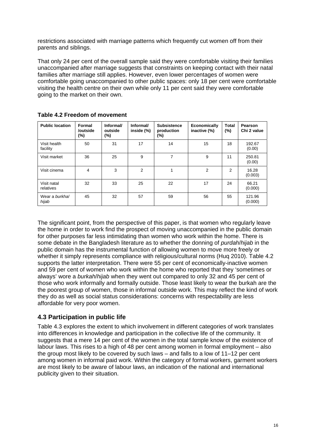restrictions associated with marriage patterns which frequently cut women off from their parents and siblings.

That only 24 per cent of the overall sample said they were comfortable visiting their families unaccompanied after marriage suggests that constraints on keeping contact with their natal families after marriage still applies. However, even lower percentages of women were comfortable going unaccompanied to other public spaces: only 18 per cent were comfortable visiting the health centre on their own while only 11 per cent said they were comfortable going to the market on their own.

| <b>Public location</b>   | Formal<br>/outside<br>(%) | Informal/<br>outside<br>$(\%)$ | Informal/<br>inside (%) | <b>Subsistence</b><br>production<br>$(\%)$ | Economically<br>inactive (%) | <b>Total</b><br>$(\%)$ | Pearson<br>Chi 2 value |
|--------------------------|---------------------------|--------------------------------|-------------------------|--------------------------------------------|------------------------------|------------------------|------------------------|
| Visit health<br>facility | 50                        | 31                             | 17                      | 14                                         | 15                           | 18                     | 192.67<br>(0.00)       |
| Visit market             | 36                        | 25                             | 9                       | 7                                          | 9                            | 11                     | 250.81<br>(0.00)       |
| Visit cinema             | 4                         | 3                              | $\overline{2}$          | 1                                          | 2                            | 2                      | 16.28<br>(0.003)       |
| Visit natal<br>relatives | 32                        | 33                             | 25                      | 22                                         | 17                           | 24                     | 66.21<br>(0.000)       |
| Wear a burkhal<br>hijab  | 45                        | 32                             | 57                      | 59                                         | 56                           | 55                     | 121.96<br>(0.000)      |

**Table 4.2 Freedom of movement** 

The significant point, from the perspective of this paper, is that women who regularly leave the home in order to work find the prospect of moving unaccompanied in the public domain for other purposes far less intimidating than women who work within the home. There is some debate in the Bangladesh literature as to whether the donning of *purdah*/*hijab* in the public domain has the instrumental function of allowing women to move more freely or whether it simply represents compliance with religious/cultural norms (Huq 2010). Table 4.2 supports the latter interpretation. There were 55 per cent of economically-inactive women and 59 per cent of women who work within the home who reported that they 'sometimes or always' wore a *burkah*/*hijab* when they went out compared to only 32 and 45 per cent of those who work informally and formally outside. Those least likely to wear the burkah are the the poorest group of women, those in informal outside work. This may reflect the kind of work they do as well as social status considerations: concerns with respectability are less affordable for very poor women.

### **4.3 Participation in public life**

Table 4.3 explores the extent to which involvement in different categories of work translates into differences in knowledge and participation in the collective life of the community. It suggests that a mere 14 per cent of the women in the total sample know of the existence of labour laws. This rises to a high of 48 per cent among women in formal employment – also the group most likely to be covered by such laws – and falls to a low of 11–12 per cent among women in informal paid work. Within the category of formal workers, garment workers are most likely to be aware of labour laws, an indication of the national and international publicity given to their situation.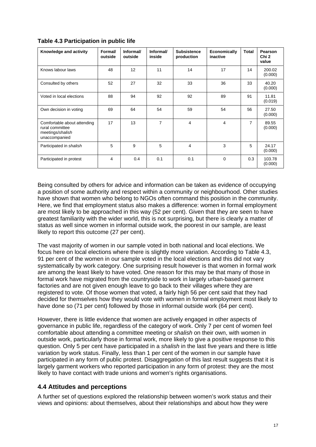| Knowledge and activity                                                              | <b>Formal</b><br>outside | Informal/<br>outside | Informal/<br>inside | <b>Subsistence</b><br>production | <b>Economically</b><br>inactive | Total          | Pearson<br>Chi 2<br>value |
|-------------------------------------------------------------------------------------|--------------------------|----------------------|---------------------|----------------------------------|---------------------------------|----------------|---------------------------|
| Knows labour laws                                                                   | 48                       | 12                   | 11                  | 14                               | 17                              | 14             | 200.02<br>(0.000)         |
| Consulted by others                                                                 | 52                       | 27                   | 32                  | 33                               | 36                              | 33             | 40.20<br>(0.000)          |
| Voted in local elections                                                            | 88                       | 94                   | 92                  | 92                               | 89                              | 91             | 11.81<br>(0.019)          |
| Own decision in voting                                                              | 69                       | 64                   | 54                  | 59                               | 54                              | 56             | 27.50<br>(0.000)          |
| Comfortable about attending<br>rural committee<br>meetings/shalish<br>unaccompanied | 17                       | 13                   | $\overline{7}$      | 4                                | 4                               | $\overline{7}$ | 89.55<br>(0.000)          |
| Participated in shalish                                                             | 5                        | 9                    | 5                   | 4                                | 3                               | 5              | 24.17<br>(0.000)          |
| Participated in protest                                                             | 4                        | 0.4                  | 0.1                 | 0.1                              | $\Omega$                        | 0.3            | 103.78<br>(0.000)         |

### **Table 4.3 Participation in public life**

Being consulted by others for advice and information can be taken as evidence of occupying a position of some authority and respect within a community or neighbourhood. Other studies have shown that women who belong to NGOs often command this position in the community. Here, we find that employment status also makes a difference: women in formal employment are most likely to be approached in this way (52 per cent). Given that they are seen to have greatest familiarity with the wider world, this is not surprising, but there is clearly a matter of status as well since women in informal outside work, the poorest in our sample, are least likely to report this outcome (27 per cent).

The vast majority of women in our sample voted in both national and local elections. We focus here on local elections where there is slightly more variation. According to Table 4.3, 91 per cent of the women in our sample voted in the local elections and this did not vary systematically by work category. One surprising result however is that women in formal work are among the least likely to have voted. One reason for this may be that many of those in formal work have migrated from the countryside to work in largely urban-based garment factories and are not given enough leave to go back to their villages where they are registered to vote. Of those women that voted, a fairly high 56 per cent said that they had decided for themselves how they would vote with women in formal employment most likely to have done so (71 per cent) followed by those in informal outside work (64 per cent).

However, there is little evidence that women are actively engaged in other aspects of governance in public life, regardless of the category of work. Only 7 per cent of women feel comfortable about attending a committee meeting or *shalish* on their own, with women in outside work, particularly those in formal work, more likely to give a positive response to this question. Only 5 per cent have participated in a *shalish* in the last five years and there is little variation by work status. Finally, less than 1 per cent of the women in our sample have participated in any form of public protest. Disaggregation of this last result suggests that it is largely garment workers who reported participation in any form of protest: they are the most likely to have contact with trade unions and women's rights organisations.

### **4.4 Attitudes and perceptions**

A further set of questions explored the relationship between women's work status and their views and opinions: about themselves, about their relationships and about how they were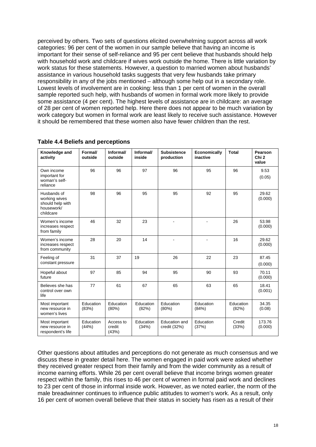perceived by others. Two sets of questions elicited overwhelming support across all work categories: 96 per cent of the women in our sample believe that having an income is important for their sense of self-reliance and 95 per cent believe that husbands should help with household work and childcare if wives work outside the home. There is little variation by work status for these statements. However, a question to married women about husbands' assistance in various household tasks suggests that very few husbands take primary responsibility in any of the jobs mentioned – although some help out in a secondary role. Lowest levels of involvement are in cooking: less than 1 per cent of women in the overall sample reported such help, with husbands of women in formal work more likely to provide some assistance (4 per cent). The highest levels of assistance are in childcare: an average of 28 per cent of women reported help. Here there does not appear to be much variation by work category but women in formal work are least likely to receive such assistance. However it should be remembered that these women also have fewer children than the rest.

| Knowledge and<br>activity                                                   | Formal/<br>outside | Informal/<br>outside         | Informal/<br>inside | <b>Subsistence</b><br>production | <b>Economically</b><br>inactive | <b>Total</b>       | Pearson<br>Chi <sub>2</sub><br>value |
|-----------------------------------------------------------------------------|--------------------|------------------------------|---------------------|----------------------------------|---------------------------------|--------------------|--------------------------------------|
| Own income<br>important for<br>woman's self-<br>reliance                    | 96                 | 96                           | 97                  | 96                               | 95                              | 96                 | 9.53<br>(0.05)                       |
| Husbands of<br>working wives<br>should help with<br>housework/<br>childcare | 98                 | 96                           | 95                  | 95                               | 92                              | 95                 | 29.62<br>(0.000)                     |
| Women's income<br>increases respect<br>from family                          | 46                 | 32                           | 23                  |                                  |                                 | 26                 | 53.98<br>(0.000)                     |
| Women's income<br>increases respect<br>from community                       | 28                 | 20                           | 14                  | ä,                               |                                 | 16                 | 29.62<br>(0.000)                     |
| Feeling of<br>constant pressure                                             | 31                 | 37                           | 19                  | 26                               | 22                              | 23                 | 87.45<br>(0.000)                     |
| Hopeful about<br>future                                                     | 97                 | 85                           | 94                  | 95                               | 90                              | 93                 | 70.11<br>(0.000)                     |
| Believes she has<br>control over own<br>life                                | 77                 | 61                           | 67                  | 65                               | 63                              | 65                 | 18.41<br>(0.001)                     |
| Most important<br>new resource in<br>women's lives                          | Education<br>(83%) | Education<br>(80%)           | Education<br>(82%)  | Education<br>(80%)               | Education<br>(84%)              | Education<br>(82%) | 34.35<br>(0.08)                      |
| Most important<br>new resource in<br>respondent's life                      | Education<br>(44%) | Access to<br>credit<br>(43%) | Education<br>(34%)  | Education and<br>credit (32%)    | Education<br>(37%)              | Credit<br>(33%)    | 173.76<br>(0.000)                    |

### **Table 4.4 Beliefs and perceptions**

Other questions about attitudes and perceptions do not generate as much consensus and we discuss these in greater detail here. The women engaged in paid work were asked whether they received greater respect from their family and from the wider community as a result of income earning efforts. While 26 per cent overall believe that income brings women greater respect within the family, this rises to 46 per cent of women in formal paid work and declines to 23 per cent of those in informal inside work. However, as we noted earlier, the norm of the male breadwinner continues to influence public attitudes to women's work. As a result, only 16 per cent of women overall believe that their status in society has risen as a result of their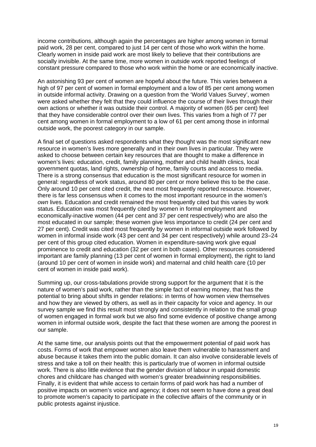income contributions, although again the percentages are higher among women in formal paid work, 28 per cent, compared to just 14 per cent of those who work within the home. Clearly women in inside paid work are most likely to believe that their contributions are socially invisible. At the same time, more women in outside work reported feelings of constant pressure compared to those who work within the home or are economically inactive.

An astonishing 93 per cent of women are hopeful about the future. This varies between a high of 97 per cent of women in formal employment and a low of 85 per cent among women in outside informal activity. Drawing on a question from the 'World Values Survey', women were asked whether they felt that they could influence the course of their lives through their own actions or whether it was outside their control. A majority of women (65 per cent) feel that they have considerable control over their own lives. This varies from a high of 77 per cent among women in formal employment to a low of 61 per cent among those in informal outside work, the poorest category in our sample.

A final set of questions asked respondents what they thought was the most significant new resource in women's lives more generally and in their own lives in particular. They were asked to choose between certain key resources that are thought to make a difference in women's lives: education, credit, family planning, mother and child health clinics, local government quotas, land rights, ownership of home, family courts and access to media. There is a strong consensus that education is the most significant resource for women in general: regardless of work status, around 80 per cent or more believe this to be the case. Only around 10 per cent cited credit, the next most frequently reported resource. However, there is far less consensus when it comes to the most important resource in the women's *own* lives. Education and credit remained the most frequently cited but this varies by work status. Education was most frequently cited by women in formal employment and economically-inactive women (44 per cent and 37 per cent respectively) who are also the most educated in our sample; these women give less importance to credit (24 per cent and 27 per cent). Credit was cited most frequently by women in informal outside work followed by women in informal inside work (43 per cent and 34 per cent respectively) while around 23–24 per cent of this group cited education. Women in expenditure-saving work give equal prominence to credit and education (32 per cent in both cases). Other resources considered important are family planning (13 per cent of women in formal employment), the right to land (around 10 per cent of women in inside work) and maternal and child health care (10 per cent of women in inside paid work).

Summing up, our cross-tabulations provide strong support for the argument that it is the nature of women's paid work, rather than the simple fact of earning money, that has the potential to bring about shifts in gender relations: in terms of how women view themselves and how they are viewed by others, as well as in their capacity for voice and agency. In our survey sample we find this result most strongly and consistently in relation to the small group of women engaged in formal work but we also find some evidence of positive change among women in informal outside work, despite the fact that these women are among the poorest in our sample.

At the same time, our analysis points out that the empowerment potential of paid work has costs. Forms of work that empower women also leave them vulnerable to harassment and abuse because it takes them into the public domain. It can also involve considerable levels of stress and take a toll on their health: this is particularly true of women in informal outside work. There is also little evidence that the gender division of labour in unpaid domestic chores and childcare has changed with women's greater breadwinning responsibilities. Finally, it is evident that while access to certain forms of paid work has had a number of positive impacts on women's voice and agency; it does not seem to have done a great deal to promote women's capacity to participate in the collective affairs of the community or in public protests against injustice.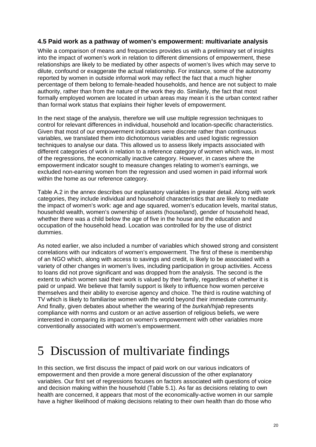### **4.5 Paid work as a pathway of women's empowerment: multivariate analysis**

While a comparison of means and frequencies provides us with a preliminary set of insights into the impact of women's work in relation to different dimensions of empowerment, these relationships are likely to be mediated by other aspects of women's lives which may serve to dilute, confound or exaggerate the actual relationship. For instance, some of the autonomy reported by women in outside informal work may reflect the fact that a much higher percentage of them belong to female-headed households, and hence are not subject to male authority, rather than from the nature of the work they do. Similarly, the fact that most formally employed women are located in urban areas may mean it is the urban context rather than formal work status that explains their higher levels of empowerment.

In the next stage of the analysis, therefore we will use multiple regression techniques to control for relevant differences in individual, household and location-specific characteristics. Given that most of our empowerment indicators were discrete rather than continuous variables, we translated them into dichotomous variables and used logistic regression techniques to analyse our data. This allowed us to assess likely impacts associated with different categories of work in relation to a reference category of women which was, in most of the regressions, the economically inactive category. However, in cases where the empowerment indicator sought to measure changes relating to women's earnings, we excluded non-earning women from the regression and used women in paid informal work within the home as our reference category.

Table A.2 in the annex describes our explanatory variables in greater detail. Along with work categories, they include individual and household characteristics that are likely to mediate the impact of women's work: age and age squared, women's education levels, marital status, household wealth, women's ownership of assets (house/land), gender of household head, whether there was a child below the age of five in the house and the education and occupation of the household head. Location was controlled for by the use of district dummies.

As noted earlier, we also included a number of variables which showed strong and consistent correlations with our indicators of women's empowerment. The first of these is membership of an NGO which, along with access to savings and credit, is likely to be associated with a variety of other changes in women's lives, including participation in group activities. Access to loans did not prove significant and was dropped from the analysis. The second is the extent to which women said their work is valued by their family, regardless of whether it is paid or unpaid. We believe that family support is likely to influence how women perceive themselves and their ability to exercise agency and choice. The third is routine watching of TV which is likely to familiarise women with the world beyond their immediate community. And finally, given debates about whether the wearing of the *burkah*/*hijab* represents compliance with norms and custom or an active assertion of religious beliefs, we were interested in comparing its impact on women's empowerment with other variables more conventionally associated with women's empowerment.

# 5 Discussion of multivariate findings

In this section, we first discuss the impact of paid work on our various indicators of empowerment and then provide a more general discussion of the other explanatory variables. Our first set of regressions focuses on factors associated with questions of voice and decision making within the household (Table 5.1). As far as decisions relating to own health are concerned, it appears that most of the economically-active women in our sample have a higher likelihood of making decisions relating to their own health than do those who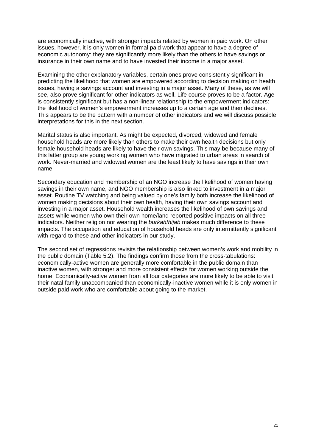are economically inactive, with stronger impacts related by women in paid work. On other issues, however, it is only women in formal paid work that appear to have a degree of economic autonomy: they are significantly more likely than the others to have savings or insurance in their own name and to have invested their income in a major asset.

Examining the other explanatory variables, certain ones prove consistently significant in predicting the likelihood that women are empowered according to decision making on health issues, having a savings account and investing in a major asset. Many of these, as we will see, also prove significant for other indicators as well. Life course proves to be a factor. Age is consistently significant but has a non-linear relationship to the empowerment indicators: the likelihood of women's empowerment increases up to a certain age and then declines. This appears to be the pattern with a number of other indicators and we will discuss possible interpretations for this in the next section.

Marital status is also important. As might be expected, divorced, widowed and female household heads are more likely than others to make their own health decisions but only female household heads are likely to have their own savings. This may be because many of this latter group are young working women who have migrated to urban areas in search of work. Never-married and widowed women are the least likely to have savings in their own name.

Secondary education and membership of an NGO increase the likelihood of women having savings in their own name, and NGO membership is also linked to investment in a major asset. Routine TV watching and being valued by one's family both increase the likelihood of women making decisions about their own health, having their own savings account and investing in a major asset. Household wealth increases the likelihood of own savings and assets while women who own their own home/land reported positive impacts on all three indicators. Neither religion nor wearing the *burkah*/*hijab* makes much difference to these impacts. The occupation and education of household heads are only intermittently significant with regard to these and other indicators in our study.

The second set of regressions revisits the relationship between women's work and mobility in the public domain (Table 5.2). The findings confirm those from the cross-tabulations: economically-active women are generally more comfortable in the public domain than inactive women, with stronger and more consistent effects for women working outside the home. Economically-active women from all four categories are more likely to be able to visit their natal family unaccompanied than economically-inactive women while it is only women in outside paid work who are comfortable about going to the market.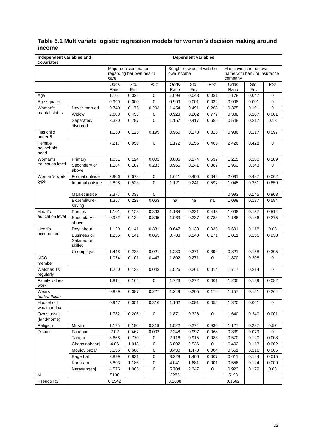### **Table 5.1 Multivariate logistic regression models for women's decision making around income**

| Independent variables and<br>covariates |                                              |               |                                                  |             |               | <b>Dependent variables</b> |             |                                                                  |              |             |
|-----------------------------------------|----------------------------------------------|---------------|--------------------------------------------------|-------------|---------------|----------------------------|-------------|------------------------------------------------------------------|--------------|-------------|
|                                         |                                              | care          | Major decision maker<br>regarding her own health |             | own income    | Bought new asset with her  |             | Has savings in her own<br>name with bank or insurance<br>company |              |             |
|                                         |                                              | Odds<br>Ratio | Std.<br>Err.                                     | P > z       | Odds<br>Ratio | Std.<br>Err.               | P > z       | Odds<br>Ratio                                                    | Std.<br>Err. | P > z       |
| Age                                     |                                              | 1.101         | 0.022                                            | 0           | 1.098         | 0.048                      | 0.031       | 1.178                                                            | 0.047        | 0           |
| Age squared                             |                                              | 0.999         | 0.000                                            | 0           | 0.999         | 0.001                      | 0.032       | 0.998                                                            | 0.001        | 0           |
| Woman's                                 | Never-married                                | 0.740         | 0.175                                            | 0.203       | 1.454         | 0.491                      | 0.268       | 0.375                                                            | 0.101        | 0           |
| marital status                          | Widow                                        | 2.688         | 0.453                                            | 0           | 0.923         | 0.262                      | 0.777       | 0.388                                                            | 0.107        | 0.001       |
|                                         | Separated/<br>divorced                       | 3.330         | 0.797                                            | 0           | 1.157         | 0.417                      | 0.685       | 0.548                                                            | 0.217        | 0.13        |
| Has child<br>under 5                    |                                              | 1.150         | 0.125                                            | 0.199       | 0.960         | 0.178                      | 0.825       | 0.936                                                            | 0.117        | 0.597       |
| Female<br>household<br>head             |                                              | 7.217         | 0.956                                            | 0           | 1.172         | 0.255                      | 0.465       | 2.426                                                            | 0.428        | 0           |
| Woman's                                 | Primary                                      | 1.031         | 0.124                                            | 0.801       | 0.886         | 0.174                      | 0.537       | 1.215                                                            | 0.180        | 0.189       |
| education level                         | Secondary or<br>above                        | 1.184         | 0.187                                            | 0.283       | 0.965         | 0.241                      | 0.887       | 1.953                                                            | 0.343        | 0           |
| Woman's work                            | Formal outside                               | 2.966         | 0.678                                            | $\mathsf 0$ | 1.641         | 0.400                      | 0.042       | 2.091                                                            | 0.487        | 0.002       |
| type                                    | Informal outside                             | 2.898         | 0.523                                            | 0           | 1.121         | 0.241                      | 0.597       | 1.045                                                            | 0.261        | 0.859       |
|                                         | Market inside                                | 2.377         | 0.337                                            | $\mathbf 0$ |               |                            |             | 0.993                                                            | 0.145        | 0.963       |
|                                         | Expenditure-<br>saving                       | 1.357         | 0.223                                            | 0.063       | na            | na                         | na          | 1.098                                                            | 0.187        | 0.584       |
| Head's                                  | Primary                                      | 1.101         | 0.123                                            | 0.393       | 1.164         | 0.231                      | 0.443       | 1.098                                                            | 0.157        | 0.514       |
| education level                         | Secondary or<br>above                        | 0.982         | 0.134                                            | 0.895       | 1.063         | 0.237                      | 0.783       | 1.186                                                            | 0.186        | 0.275       |
| Head's                                  | Day labour                                   | 1.129         | 0.141                                            | 0.331       | 0.647         | 0.133                      | 0.035       | 0.691                                                            | 0.118        | 0.03        |
| occupation                              | <b>Business or</b><br>Salaried or<br>skilled | 1.235         | 0.141                                            | 0.063       | 0.783         | 0.140                      | 0.171       | 1.011                                                            | 0.136        | 0.938       |
|                                         | Unemployed                                   | 1.448         | 0.233                                            | 0.021       | 1.280         | 0.371                      | 0.394       | 0.821                                                            | 0.158        | 0.305       |
| <b>NGO</b><br>member                    |                                              | 1.074         | 0.101                                            | 0.447       | 1.802         | 0.271                      | 0           | 1.870                                                            | 0.208        | 0           |
| Watches TV<br>regularly                 |                                              | 1.250         | 0.138                                            | 0.043       | 1.526         | 0.261                      | 0.014       | 1.717                                                            | 0.214        | $\mathbf 0$ |
| Family values<br>work                   |                                              | 1.814         | 0.165                                            | $\mathbf 0$ | 1.723         | 0.272                      | 0.001       | 1.205                                                            | 0.129        | 0.082       |
| Wears<br>burkah/hijab                   |                                              | 0.889         | 0.087                                            | 0.227       | 1.249         | 0.205                      | 0.174       | 1.157                                                            | 0.151        | 0.264       |
| Household<br>wealth index               |                                              | 0.947         | 0.051                                            | 0.316       | 1.162         | 0.091                      | 0.055       | 1.320                                                            | 0.061        | 0           |
| Owns asset<br>(land/home)               |                                              | 1.782         | 0.206                                            | $\mathbf 0$ | 1.871         | 0.326                      | $\mathbf 0$ | 1.640                                                            | 0.240        | 0.001       |
| Religion                                | Muslim                                       | 1.175         | 0.190                                            | 0.319       | 1.022         | 0.274                      | 0.936       | 1.127                                                            | 0.237        | 0.57        |
| <b>District</b>                         | Faridpur                                     | 2.02          | 0.467                                            | 0.002       | 2.248         | 0.997                      | 0.068       | 0.339                                                            | 0.079        | 0           |
|                                         | Tangail                                      | 3.668         | 0.770                                            | $\pmb{0}$   | 2.116         | 0.915                      | 0.083       | 0.570                                                            | 0.120        | 0.008       |
|                                         | Chapainabganj                                | 4.86          | 1.018                                            | $\pmb{0}$   | 6.002         | 2.536                      | 0           | 0.492                                                            | 0.113        | 0.002       |
|                                         | Moulovibazar                                 | 3.136         | 0.686                                            | 0           | 3.430         | 1.473                      | 0.004       | 0.551                                                            | 0.116        | 0.005       |
|                                         | Bagerhat                                     | 3.899         | 0.831                                            | 0           | 3.228         | 1.406                      | 0.007       | 0.611                                                            | 0.124        | 0.015       |
|                                         | Kurigram                                     | 5.803         | 1.186                                            | 0           | 4.041         | 1.681                      | 0.001       | 0.556                                                            | 0.124        | 0.009       |
|                                         | Narayanganj                                  | 4.575         | 1.005                                            | 0           | 5.704         | 2.347                      | 0           | 0.923                                                            | 0.179        | 0.68        |
| N                                       |                                              | 5198          |                                                  |             | 2285          |                            |             | 5198                                                             |              |             |
| Pseudo R2                               |                                              | 0.1542        |                                                  |             | 0.1008        |                            |             | 0.1562                                                           |              |             |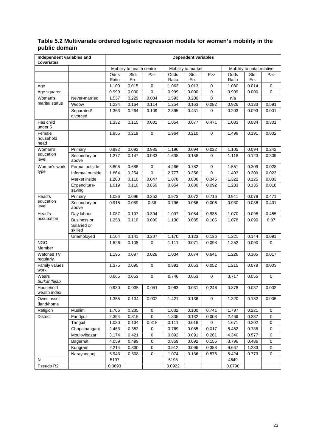#### **Table 5.2 Multivariate ordered logistic regression models for women's mobility in the public domain**

| Independent variables and<br>covariates |                                       |               |                           |             |               | <b>Dependent variables</b> |             |               |                            |             |
|-----------------------------------------|---------------------------------------|---------------|---------------------------|-------------|---------------|----------------------------|-------------|---------------|----------------------------|-------------|
|                                         |                                       |               | Mobility to health centre |             |               | Mobility to market         |             |               | Mobility to natal relative |             |
|                                         |                                       | Odds<br>Ratio | Std.<br>Err.              | P > z       | Odds<br>Ratio | Std.<br>Err.               | P > z       | Odds<br>Ratio | Std.<br>Err.               | P > Z       |
| Age                                     |                                       | 1.100         | 0.015                     | 0           | 1.063         | 0.013                      | 0           | 1.080         | 0.014                      | $\mathbf 0$ |
| Age squared                             |                                       | 0.999         | 0.000                     | 0           | 0.999         | 0.000                      | 0           | 0.999         | 0.000                      | 0           |
| Woman's                                 | Never-married                         | 1.537         | 0.229                     | 0.004       | 1.593         | 0.200                      | 0           | n/a           |                            |             |
| marital status                          | Widow                                 | 1.234         | 0.164                     | 0.114       | 1.254         | 0.163                      | 0.082       | 0.926         | 0.133                      | 0.591       |
|                                         | Separated/<br>divorced                | 1.363         | 0.264                     | 0.109       | 2.395         | 0.431                      | 0           | 0.203         | 0.093                      | 0.001       |
| Has child<br>under 5                    |                                       | 1.332         | 0.115                     | 0.001       | 1.054         | 0.077                      | 0.471       | 1.083         | 0.084                      | 0.301       |
| Female<br>household<br>head             |                                       | 1.955         | 0.219                     | $\mathbf 0$ | 1.964         | 0.210                      | 0           | 1.498         | 0.191                      | 0.002       |
| Woman's                                 | Primary                               | 0.992         | 0.092                     | 0.935       | 1.196         | 0.094                      | 0.022       | 1.105         | 0.094                      | 0.242       |
| education<br>level                      | Secondary or<br>above                 | 1.277         | 0.147                     | 0.033       | 1.638         | 0.158                      | 0           | 1.118         | 0.123                      | 0.309       |
| Woman's work                            | Formal outside                        | 3.805         | 0.688                     | $\mathbf 0$ | 4.266         | 0.782                      | 0           | 1.551         | 0.309                      | 0.028       |
| type                                    | Informal outside                      | 1.864         | 0.254                     | $\mathbf 0$ | 2.777         | 0.356                      | $\mathbf 0$ | 1.403         | 0.209                      | 0.023       |
|                                         | Market inside                         | 1.200         | 0.110                     | 0.047       | 1.078         | 0.086                      | 0.345       | 1.322         | 0.125                      | 0.003       |
|                                         | Expenditure-<br>saving                | 1.019         | 0.110                     | 0.859       | 0.854         | 0.080                      | 0.092       | 1.283         | 0.135                      | 0.018       |
| Head's                                  | Primary                               | 1.086         | 0.096                     | 0.352       | 0.973         | 0.072                      | 0.716       | 0.941         | 0.079                      | 0.471       |
| education<br>level                      | Secondary or<br>above                 | 0.915         | 0.089                     | 0.36        | 0.796         | 0.066                      | 0.006       | 0.930         | 0.086                      | 0.431       |
| Head's                                  | Day labour                            | 1.087         | 0.107                     | 0.394       | 1.007         | 0.084                      | 0.935       | 1.070         | 0.098                      | 0.455       |
| occupation                              | Business or<br>Salaried or<br>skilled | 1.258         | 0.110                     | 0.009       | 1.130         | 0.085                      | 0.105       | 1.078         | 0.090                      | 0.37        |
|                                         | Unemployed                            | 1.164         | 0.141                     | 0.207       | 1.170         | 0.123                      | 0.136       | 1.221         | 0.144                      | 0.091       |
| <b>NGO</b><br>Member                    |                                       | 1.526         | 0.108                     | $\mathbf 0$ | 1.111         | 0.071                      | 0.098       | 1.352         | 0.090                      | 0           |
| Watches TV<br>regularly                 |                                       | 1.195         | 0.097                     | 0.028       | 1.034         | 0.074                      | 0.641       | 1.226         | 0.105                      | 0.017       |
| Family values<br>work                   |                                       | 1.375         | 0.095                     | $\mathbf 0$ | 0.891         | 0.053                      | 0.052       | 1.215         | 0.079                      | 0.003       |
| Wears<br>burkah/hijab                   |                                       | 0.665         | 0.053                     | $\mathbf 0$ | 0.746         | 0.053                      | 0           | 0.717         | 0.055                      | 0           |
| Household<br>wealth index               |                                       | 0.930         | 0.035                     | 0.051       | 0.963         | 0.031                      | 0.246       | 0.878         | 0.037                      | 0.002       |
| Owns asset<br>(land/home                |                                       | 1.355         | 0.134                     | 0.002       | 1.421         | 0.136                      | 0           | 1.320         | 0.132                      | 0.005       |
| Religion                                | Muslim                                | 1.766         | 0.235                     | $\mathbf 0$ | 1.032         | 0.100                      | 0.741       | 1.797         | 0.221                      | 0           |
| <b>District</b>                         | Faridpur                              | 2.394         | 0.315                     | 0           | 1.335         | 0.132                      | 0.003       | 2.469         | 0.337                      | 0           |
|                                         | Tangail                               | 1.030         | 0.134                     | 0.818       | 0.111         | 0.016                      | 0           | 1.671         | 0.202                      | 0           |
|                                         | Chapainabganj                         | 2.463         | 0.353                     | 0           | 0.769         | 0.085                      | 0.017       | 5.452         | 0.738                      | 0           |
|                                         | Moulovibazar                          | 3.174         | 0.421                     | $\mathbf 0$ | 0.892         | 0.091                      | 0.261       | 4.340         | 0.577                      | $\mathbf 0$ |
|                                         | Bagerhat                              | 4.059         | 0.499                     | 0           | 0.859         | 0.092                      | 0.155       | 3.796         | 0.486                      | $\mathbf 0$ |
|                                         | Kurigram                              | 2.214         | 0.330                     | 0           | 0.912         | 0.096                      | 0.383       | 9.667         | 1.233                      | 0           |
|                                         | Narayanganj                           | 5.943         | 0.808                     | $\mathbf 0$ | 1.074         | 0.136                      | 0.576       | 5.424         | 0.773                      | $\mathbf 0$ |
| N                                       |                                       | 5197          |                           |             | 5198          |                            |             | 4649          |                            |             |
| Pseudo R2                               |                                       | 0.0893        |                           |             | 0.0922        |                            |             | 0.0790        |                            |             |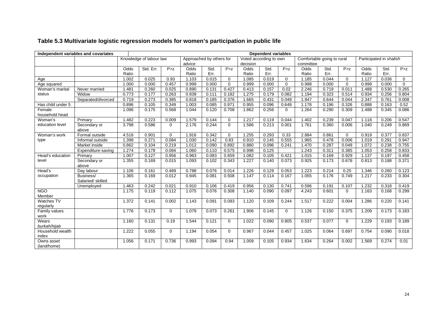| <b>Dependent variables</b><br>Independent variables and covariates |                               |       |                         |             |                                    |       |             |                                    |       |             |           |                            |             |       |                         |              |
|--------------------------------------------------------------------|-------------------------------|-------|-------------------------|-------------|------------------------------------|-------|-------------|------------------------------------|-------|-------------|-----------|----------------------------|-------------|-------|-------------------------|--------------|
|                                                                    |                               |       | Knowledge of labour law |             | Approached by others for<br>advice |       |             | Voted according to own<br>decision |       |             | committee | Comfortable going to rural |             |       | Participated in shalish |              |
|                                                                    |                               | Odds  | Std. Err.               | P > Z       | Odds                               | Std.  | P > z       | Odds                               | Std.  | P > z       | Odds      | Std.                       | P > z       | Odds  | Std.                    | P > Z        |
|                                                                    |                               | Ratio |                         |             | Ratio                              | Err.  |             | Ratio                              | Err.  |             | Ratio     | Err.                       |             | Ratio | Err.                    |              |
| Age                                                                |                               | 1.002 | 0.025                   | 0.93        | 1.103                              | 0.015 | $\mathbf 0$ | 1.085                              | 0.019 | $\mathbf 0$ | 1.185     | 0.044                      | $\mathbf 0$ | 1.127 | 0.036                   | $\mathbf 0$  |
| Age squared                                                        |                               | 1.000 | 0.000                   | 0.457       | 0.999                              | 0.000 | $\mathbf 0$ | 0.999                              | 0.000 | $\mathbf 0$ | 0.998     | 0.000                      | $\mathbf 0$ | 0.999 | 0.000                   | $\mathbf{0}$ |
| Woman's marital                                                    | Never married                 | 1.481 | 0.260                   | 0.025       | 0.890                              | 0.131 | 0.427       | 0.413                              | 0.157 | 0.02        | 2.246     | 0.719                      | 0.011       | 1.488 | 0.530                   | 0.265        |
| status                                                             | Widow                         | 0.773 | 0.177                   | 0.263       | 0.839                              | 0.111 | 0.182       | 1.275                              | 0.179 | 0.082       | 1.194     | 0.323                      | 0.514       | 0.934 | 0.256                   | 0.804        |
|                                                                    | Separated/divorced            | 0.719 | 0.273                   | 0.385       | 0.818                              | 0.185 | 0.376       | 1.665                              | 0.431 | 0.049       | 1.947     | 0.644                      | 0.044       | 2.347 | 0.761                   | 0.008        |
| Has child under 5                                                  |                               | 0.896 | 0.105                   | 0.349       | 1.003                              | 0.085 | 0.971       | 0.955                              | 0.096 | 0.649       | 1.178     | 0.196                      | 0.326       | 0.888 | 0.163                   | 0.52         |
| Female<br>household head                                           |                               | 1.096 | 0.175                   | 0.568       | 1.044                              | 0.120 | 0.708       | 1.862                              | 0.256 | $\mathbf 0$ | 1.264     | 0.290                      | 0.309       | 1.488 | 0.345                   | 0.086        |
| Woman's                                                            | Primary                       | 1.482 | 0.223                   | 0.009       | 1.579                              | 0.144 | $\mathbf 0$ | 1.217                              | 0.119 | 0.044       | 1.402     | 0.239                      | 0.047       | 1.118 | 0.206                   | 0.547        |
| education level                                                    | Secondary or<br>above         | 3.798 | 0.586                   | 0           | 2.176                              | 0.244 | $\mathbf 0$ | 1.586                              | 0.213 | 0.001       | 1.761     | 0.360                      | 0.006       | 1.040 | 0.249                   | 0.869        |
| Woman's work                                                       | Formal outside                | 4.516 | 0.901                   | $\Omega$    | 1.916                              | 0.342 | $\mathbf 0$ | 1.255                              | 0.293 | 0.33        | 2.884     | 0.861                      | $\Omega$    | 0.919 | 0.377                   | 0.837        |
| type                                                               | Informal outside              | 1.398 | 0.271                   | 0.084       | 1.030                              | 0.142 | 0.83        | 0.910                              | 0.145 | 0.555       | 1.965     | 0.478                      | 0.006       | 1.019 | 0.291                   | 0.947        |
|                                                                    | Market inside                 | 0.862 | 0.104                   | 0.219       | 1.012                              | 0.090 | 0.892       | 0.880                              | 0.096 | 0.241       | 1.470     | 0.287                      | 0.049       | 1.072 | 0.238                   | 0.755        |
|                                                                    | Expenditure-saving            | 1.274 | 0.178                   | 0.084       | 1.060                              | 0.110 | 0.575       | 0.998                              | 0.125 |             | 1.243     | 0.311                      | 0.385       | 1.053 | 0.258                   | 0.833        |
| Head's education                                                   | Primary                       | 1.007 | 0.127                   | 0.956       | 0.963                              | 0.083 | 0.659       | 1.082                              | 0.105 | 0.421       | 1.015     | 0.169                      | 0.929       | 1.137 | 0.197                   | 0.458        |
| level                                                              | Secondary or<br>above         | 1.355 | 0.169                   | 0.015       | 1.093                              | 0.102 | 0.343       | 1.227                              | 0.140 | 0.073       | 0.925     | 0.173                      | 0.678       | 0.813 | 0.188                   | 0.371        |
| Head's                                                             | Day labour                    | 1.106 | 0.161                   | 0.489       | 0.788                              | 0.076 | 0.014       | 1.226                              | 0.129 | 0.053       | 1.223     | 0.214                      | 0.25        | 1.346 | 0.260                   | 0.123        |
| occupation                                                         | Business/<br>Salaried/skilled | 1.365 | 0.169                   | 0.012       | 0.945                              | 0.081 | 0.508       | 1.147                              | 0.114 | 0.167       | 1.055     | 0.176                      | 0.749       | 1.217 | 0.233                   | 0.304        |
|                                                                    | Unemployed                    | 1.463 | 0.242                   | 0.021       | 0.910                              | 0.106 | 0.419       | 0.956                              | 0.130 | 0.741       | 0.596     | 0.191                      | 0.107       | 1.232 | 0.318                   | 0.419        |
| <b>NGO</b><br>Member                                               |                               | 1.175 | 0.119                   | 0.112       | 1.075                              | 0.076 | 0.308       | 1.140                              | 0.090 | 0.097       | 4.243     | 0.601                      | $\Omega$    | 1.163 | 0.168                   | 0.299        |
| Watches TV<br>regularly                                            |                               | 1.372 | 0.141                   | 0.002       | 1.143                              | 0.091 | 0.093       | 1.120                              | 0.109 | 0.244       | 1.517     | 0.222                      | 0.004       | 1.286 | 0.220                   | 0.141        |
| Family values<br>work                                              |                               | 1.776 | 0.173                   | $\Omega$    | 1.079                              | 0.073 | 0.261       | 1.906                              | 0.145 | $\Omega$    | 1.126     | 0.150                      | 0.375       | 1.209 | 0.173                   | 0.183        |
| Wears<br>burkah/hijab                                              |                               | 1.160 | 0.131                   | 0.19        | 1.544                              | 0.121 | $\mathbf 0$ | 1.022                              | 0.090 | 0.805       | 0.537     | 0.077                      | $\Omega$    | 1.229 | 0.193                   | 0.189        |
| Household wealth<br>index                                          |                               | 1.222 | 0.055                   | $\mathbf 0$ | 1.194                              | 0.054 | 0           | 0.967                              | 0.044 | 0.457       | 1.025     | 0.064                      | 0.697       | 0.754 | 0.090                   | 0.018        |
| Owns asset<br>(land/home)                                          |                               | 1.056 | 0.171                   | 0.736       | 0.993                              | 0.094 | 0.94        | 1.009                              | 0.105 | 0.934       | 1.634     | 0.264                      | 0.002       | 1.569 | 0.274                   | 0.01         |

## **Table 5.3 Multivariate logistic regression models for women's participation in public life**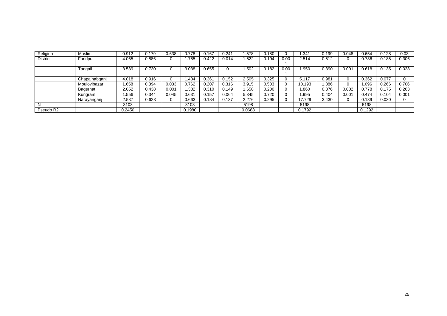| Religion        | Muslim        | 0.912  | 0.179 | 0.638 | 0.778  | .167  | 0.241 | .578   | 0.180 |      | .34 <sup>′</sup> | 0.199 | 0.048 | 0.654  | 0.128 | 0.03  |
|-----------------|---------------|--------|-------|-------|--------|-------|-------|--------|-------|------|------------------|-------|-------|--------|-------|-------|
| <b>District</b> | Faridpur      | 4.065  | 0.886 |       | .785   | ).422 | 0.014 | .522   | 0.194 | 0.00 | 2.514            | 0.512 |       | 0.786  | 0.185 | 0.306 |
|                 |               |        |       |       |        |       |       |        |       |      |                  |       |       |        |       |       |
|                 | Tangail       | 3.539  | 0.730 |       | 3.038  | 0.655 |       | .502   | 0.182 | 0.00 | .950             | 0.390 | 0.001 | 0.618  | 0.135 | 0.028 |
|                 |               |        |       |       |        |       |       |        |       |      |                  |       |       |        |       |       |
|                 | Chapainabganj | 4.018  | 0.916 |       | . 434  | J.361 | 0.152 | 2.505  | 0.325 |      | 5.117            | 0.981 |       | 0.362  | 0.077 |       |
|                 | Moulovibazar  | .658   | 0.394 | 0.033 | 0.762  | 0.207 | 0.316 | 3.915  | 0.503 |      | 10.193           | .886  |       | .096   | 0.266 | 0.706 |
|                 | Bagerhat      | 2.052  | 0.438 | 0.001 | .382   | 0.310 | 0.149 | 1.658  | 0.200 |      | .860             | 0.376 | 0.002 | 0.778  | 0.175 | 0.263 |
|                 | Kurigram      | .556   | 0.344 | 0.045 | 0.631  | 0.157 | 0.064 | 5.345  | 0.720 |      | .995             | 0.404 | 0.001 | 0.474  | 0.104 | 0.001 |
|                 | Narayanganj   | 2.587  | 0.623 |       | 0.663  | 0.184 | 0.137 | 2.276  | 0.295 |      | 17.729           | 3.430 |       | 0.139  | 0.030 |       |
|                 |               | 3103   |       |       | 3103   |       |       | 5198   |       |      | 5198             |       |       | 5198   |       |       |
| Pseudo R2       |               | 0.2450 |       |       | 0.1980 |       |       | 0.0688 |       |      | 0.1792           |       |       | 0.1292 |       |       |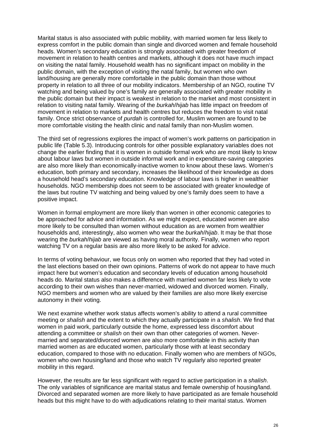Marital status is also associated with public mobility, with married women far less likely to express comfort in the public domain than single and divorced women and female household heads. Women's secondary education is strongly associated with greater freedom of movement in relation to health centres and markets, although it does not have much impact on visiting the natal family. Household wealth has no significant impact on mobility in the public domain, with the exception of visiting the natal family, but women who own land/housing are generally more comfortable in the public domain than those without property in relation to all three of our mobility indicators. Membership of an NGO, routine TV watching and being valued by one's family are generally associated with greater mobility in the public domain but their impact is weakest in relation to the market and most consistent in relation to visiting natal family. Wearing of the *burkah*/*hijab* has little impact on freedom of movement in relation to markets and health centres but reduces the freedom to visit natal family. Once strict observance of *purdah* is controlled for, Muslim women are found to be more comfortable visiting the health clinic and natal family than non-Muslim women.

The third set of regressions explores the impact of women's work patterns on participation in public life (Table 5.3). Introducing controls for other possible explanatory variables does not change the earlier finding that it is women in outside formal work who are most likely to know about labour laws but women in outside informal work and in expenditure-saving categories are also more likely than economically-inactive women to know about these laws. Women's education, both primary and secondary, increases the likelihood of their knowledge as does a household head's secondary education. Knowledge of labour laws is higher in wealthier households. NGO membership does not seem to be associated with greater knowledge of the laws but routine TV watching and being valued by one's family does seem to have a positive impact.

Women in formal employment are more likely than women in other economic categories to be approached for advice and information. As we might expect, educated women are also more likely to be consulted than women without education as are women from wealthier households and, interestingly, also women who wear the *burkah*/*hijab*. It may be that those wearing the *burkah*/*hijab* are viewed as having moral authority. Finally, women who report watching TV on a regular basis are also more likely to be asked for advice.

In terms of voting behaviour, we focus only on women who reported that they had voted in the last elections based on their own opinions. Patterns of work do not appear to have much impact here but women's education and secondary levels of education among household heads do. Marital status also makes a difference with married women far less likely to vote according to their own wishes than never-married, widowed and divorced women. Finally, NGO members and women who are valued by their families are also more likely exercise autonomy in their voting.

We next examine whether work status affects women's ability to attend a rural committee meeting or *shalish* and the extent to which they actually participate in a *shalish*. We find that women in paid work, particularly outside the home, expressed less discomfort about attending a committee or *shalish* on their own than other categories of women. Nevermarried and separated/divorced women are also more comfortable in this activity than married women as are educated women, particularly those with at least secondary education, compared to those with no education. Finally women who are members of NGOs, women who own housing/land and those who watch TV regularly also reported greater mobility in this regard.

However, the results are far less significant with regard to active participation in a *shalish*. The only variables of significance are marital status and female ownership of housing/land. Divorced and separated women are more likely to have participated as are female household heads but this might have to do with adjudications relating to their marital status. Women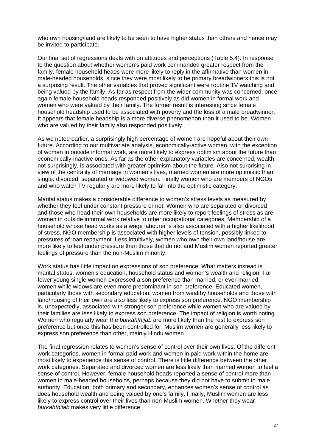who own housing/land are likely to be seen to have higher status than others and hence may be invited to participate.

Our final set of regressions deals with on attitudes and perceptions (Table 5.4). In response to the question about whether women's paid work commanded greater respect from the family, female household heads were more likely to reply in the affirmative than women in male-headed households, since they were most likely to be primary breadwinners this is not a surprising result. The other variables that proved significant were routine TV watching and being valued by the family. As far as respect from the wider community was concerned, once again female household heads responded positively as did women in formal work and women who were valued by their family. The former result is interesting since female household headship used to be associated with poverty and the loss of a male breadwinner. It appears that female headship is a more diverse phenomenon than it used to be. Women who are valued by their family also responded positively.

As we noted earlier, a surprisingly high percentage of women are hopeful about their own future. According to our multivariate analysis, economically-active women, with the exception of women in outside informal work, are more likely to express optimism about the future than economically-inactive ones. As far as the other explanatory variables are concerned, wealth, not surprisingly, is associated with greater optimism about the future. Also not surprising in view of the centrality of marriage in women's lives, married women are more optimistic than single, divorced, separated or widowed women. Finally women who are members of NGOs and who watch TV regularly are more likely to fall into the optimistic category.

Marital status makes a considerable difference to women's stress levels as measured by whether they feel under constant pressure or not. Women who are separated or divorced and those who head their own households are more likely to report feelings of stress as are women in outside informal work relative to other occupational categories. Membership of a household whose head works as a wage labourer is also associated with a higher likelihood of stress. NGO membership is associated with higher levels of tension, possibly linked to pressures of loan repayment. Less intuitively, women who own their own land/house are more likely to feel under pressure than those that do not and Muslim women reported greater feelings of pressure than the non-Muslim minority.

Work status has little impact on expressions of son preference. What matters instead is marital status, women's education, household status and women's wealth and religion. Far fewer young single women expressed a son preference than married, or ever-married, women while widows are even more predominant in son preference. Educated women, particularly those with secondary education, women from wealthy households and those with land/housing of their own are also less likely to express son preference. NGO membership is, unexpectedly, associated with stronger son preference while women who are valued by their families are less likely to express son preference. The impact of religion is worth noting. Women who regularly wear the *burkah*/*hijab* are more likely than the rest to express son preference but once this has been controlled for, Muslim women are generally less likely to express son preference than other, mainly Hindu women.

The final regression relates to women's sense of control over their own lives. Of the different work categories, women in formal paid work and women in paid work within the home are most likely to experience this sense of control. There is little difference between the other work categories. Separated and divorced women are less likely than married women to feel a sense of control. However, female household heads reported a sense of control more than women in male-headed households, perhaps because they did not have to submit to male authority. Education, both primary and secondary, enhances women's sense of control as does household wealth and being valued by one's family. Finally, Muslim women are less likely to express control over their lives than non-Muslim women. Whether they wear *burkah*/*hijab* makes very little difference.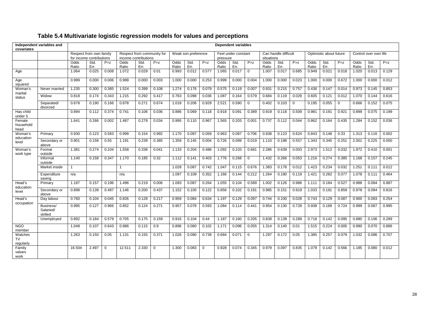| Independent variables and<br>covariates |                                   | <b>Dependent variables</b>                          |              |       |                                                    |              |          |                     |              |          |                                 |              |             |                                    |              |             |                         |              |             |                       |              |       |
|-----------------------------------------|-----------------------------------|-----------------------------------------------------|--------------|-------|----------------------------------------------------|--------------|----------|---------------------|--------------|----------|---------------------------------|--------------|-------------|------------------------------------|--------------|-------------|-------------------------|--------------|-------------|-----------------------|--------------|-------|
|                                         |                                   | Respect from own family<br>for income contributions |              |       | Respect from community for<br>income contributions |              |          | Weak son preference |              |          | Feel under constant<br>pressure |              |             | Can handle difficult<br>situations |              |             | Optimistic about future |              |             | Control over own life |              |       |
|                                         |                                   | Odds<br>Ratio                                       | Std.<br>Err. | P > Z | Odds<br>Ratio                                      | Std.<br>Err. | P > z    | Odds<br>Ratio       | Std.<br>Err. | P > z    | Odds<br>Ratio                   | Std.<br>Err. | P > Z       | Odds<br>Ratio                      | Std.<br>Err. | P > z       | Odds<br>Ratio           | Std.<br>Err. | P > z       | Odds<br>Ratio         | Std.<br>Err. | P > z |
| Age                                     |                                   | 1.064                                               | 0.025        | 0.008 | 1.072                                              | 0.029        | 0.01     | 0.993               | 0.012        | 0.577    | 1.065                           | 0.017        | $\mathbf 0$ | 1.007                              | 0.017        | 0.685       | 0.949                   | 0.021        | 0.018       | 1.020                 | 0.013        | 0.129 |
| Age<br>squared                          |                                   | 0.999                                               | 0.000        | 0.006 | 0.999                                              | 0.000        | 0.003    | 1.000               | 0.000        | 0.253    | 0.999                           | 0.000        | 0.004       | 1.000                              | 0.000        | 0.023       | 1.000                   | 0.000        | 0.672       | 1.000                 | 0.000        | 0.012 |
| Woman's<br>marital<br>status            | Never married                     | 1.235                                               | 0.300        | 0.385 | 1.524                                              | 0.399        | 0.108    | 1.274               | 0.176        | 0.079    | 0.575                           | 0.119        | 0.007       | 0.931                              | 0.215        | 0.757       | 0.436                   | 0.147        | 0.014       | 0.973                 | 0.145        | 0.853 |
|                                         | Widow                             | 0.818                                               | 0.174        | 0.343 | 1.215                                              | 0.292        | 0.417    | 0.763               | 0.098        | 0.036    | 1.087                           | 0.164        | 0.579       | 0.684                              | 0.119        | 0.029       | 0.605                   | 0.121        | 0.012       | 1.070                 | 0.144        | 0.616 |
|                                         | Separated/<br>divorced            | 0.678                                               | 0.190        | 0.166 | 0.878                                              | 0.271        | 0.674    | 1.018               | 0.206        | 0.929    | 2.521                           | 0.590        | $\mathbf 0$ | 0.402                              | 0.103        | $\mathbf 0$ | 0.195                   | 0.055        | $\mathbf 0$ | 0.666                 | 0.152        | 0.075 |
| Has child<br>under 5                    |                                   | 0.894                                               | 0.112        | 0.374 | 0.741                                              | 0.106        | 0.036    | 0.886               | 0.069        | 0.118    | 0.918                           | 0.091        | 0.389       | 0.919                              | 0.118        | 0.509       | 0.981                   | 0.191        | 0.921       | 0.899                 | 0.075        | 0.199 |
| Female<br>household<br>head             |                                   | 1.641                                               | 0.266        | 0.002 | 1.487                                              | 0.279        | 0.034    | 0.995               | 0.110        | 0.967    | 1.565                           | 0.203        | 0.001       | 0.737                              | 0.112        | 0.044       | 0.862                   | 0.164        | 0.435       | 1.284                 | 0.152        | 0.036 |
| Woman's<br>education<br>level           | Primary                           | 0.930                                               | 0.123        | 0.583 | 0.999                                              | 0.154        | 0.992    | 1.170               | 0.097        | 0.059    | 0.963                           | 0.097        | 0.706       | 0.938                              | 0.123        | 0.624       | 0.843                   | 0.148        | 0.33        | 1.313                 | 0.116        | 0.002 |
|                                         | Secondary or<br>above             | 0.901                                               | 0.158        | 0.55  | 1.191                                              | 0.239        | 0.385    | 1.359               | 0.145        | 0.004    | 0.726                           | 0.099        | 0.019       | 1.110                              | 0.198        | 0.557       | 1.343                   | 0.345        | 0.251       | 2.001                 | 0.225        | 0.000 |
| Woman's<br>work type                    | Formal<br>outside                 | 1.381                                               | 0.274        | 0.104 | 1.558                                              | 0.338        | 0.041    | 1.133               | 0.204        | 0.488    | 1.092                           | 0.233        | 0.681       | 2.286                              | 0.639        | 0.003       | 2.973                   | 1.512        | 0.032       | 1.972                 | 0.410        | 0.001 |
|                                         | Informal<br>outside               | 1.140                                               | 0.158        | 0.347 | 1.170                                              | 0.185        | 0.32     | 1.112               | 0.141        | 0.403    | 1.776                           | 0.268        | $\Omega$    | 1.432                              | 0.266        | 0.053       | 1.216                   | 0.274        | 0.385       | 1.168                 | 0.157        | 0.245 |
|                                         | Market inside                     | $\mathbf{1}$                                        |              |       | -1                                                 |              |          | 1.028               | 0.087        | 0.742    | 1.047                           | 0.115        | 0.676       | 1.383                              | 0.178        | 0.012       | 1.423                   | 0.234        | 0.032       | 1.251                 | 0.111        | 0.012 |
|                                         | Expenditure<br>saving             | n/a                                                 |              |       | n/a                                                |              |          | 1.097               | 0.109        | 0.352    | 1.166                           | 0.144        | 0.212       | 1.264                              | 0.190        | 0.119       | 1.421                   | 0.282        | 0.077       | 1.078                 | 0.111        | 0.464 |
| Head's<br>education<br>level            | Primary                           | 1.187                                               | 0.157        | 0.196 | 1.496                                              | 0.219        | 0.006    | 1.093               | 0.087        | 0.264    | 1.055                           | 0.104        | 0.589       | 1.002                              | 0.126        | 0.986       | 1.111                   | 0.184        | 0.527       | 0.988                 | 0.084        | 0.887 |
|                                         | Secondary or<br>above             | 0.898                                               | 0.139        | 0.487 | 1.146                                              | 0.200        | 0.437    | 1.152               | 0.105        | 0.122    | 0.856                           | 0.102        | 0.191       | 0.985                              | 0.151        | 0.919       | 1.033                   | 0.191        | 0.859       | 0.978                 | 0.094        | 0.816 |
| Head's                                  | Day labour                        | 0.760                                               | 0.104        | 0.045 | 0.826                                              | 0.128        | 0.217    | 0.959               | 0.084        | 0.634    | 1.197                           | 0.129        | 0.097       | 0.744                              | 0.100        | 0.028       | 0.743                   | 0.129        | 0.087       | 0.900                 | 0.083        | 0.254 |
| occupation                              | Business/<br>Salaried/<br>skilled | 0.995                                               | 0.127        | 0.966 | 0.852                                              | 0.124        | 0.271    | 0.957               | 0.078        | 0.593    | 1.084                           | 0.114        | 0.441       | 0.954                              | 0.130        | 0.728       | 0.938                   | 0.169        | 0.724       | 0.999                 | 0.087        | 0.995 |
|                                         | Unemployed                        | 0.892                                               | 0.184        | 0.579 | 0.705                                              | 0.175        | 0.159    | 0.916               | 0.104        | 0.44     | 1.187                           | 0.160        | 0.205       | 0.839                              | 0.139        | 0.289       | 0.718                   | 0.142        | 0.095       | 0.880                 | 0.106        | 0.289 |
| <b>NGO</b><br>member                    |                                   | 1.049                                               | 0.107        | 0.643 | 0.986                                              | 0.115        | 0.9      | 0.896               | 0.060        | 0.102    | 1.171                           | 0.096        | 0.055       | 1.314                              | 0.140        | 0.01        | 1.515                   | 0.224        | 0.005       | 0.990                 | 0.070        | 0.886 |
| Watches<br><b>TV</b><br>regularly       |                                   | 1.263                                               | 0.150        | 0.05  | 1.131                                              | 0.155        | 0.371    | 1.026               | 0.080        | 0.739    | 0.684                           | 0.071        | $\mathbf 0$ | 1.297                              | 0.172        | 0.05        | 1.385                   | 0.257        | 0.079       | 1.032                 | 0.086        | 0.707 |
| Family<br>values<br>work                |                                   | 16.504                                              | 2.497        | 0     | 12.511                                             | 2.330        | $\Omega$ | 1.300               | 0.083        | $\Omega$ | 0.928                           | 0.074        | 0.345       | 0.979                              | 0.097        | 0.835       | 1.079                   | 0.142        | 0.566       | 1.185                 | 0.080        | 0.012 |

### **Table 5.4 Multivariate logistic regression models for values and perceptions**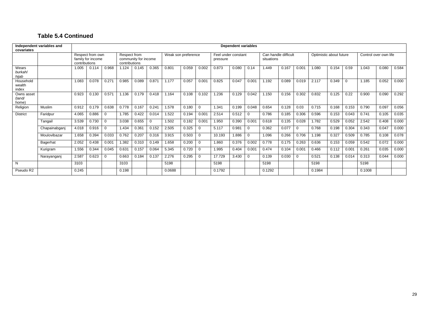### **Table 5.4 Continued**

| Independent variables and<br>covariates |               |                                                        | <b>Dependent variables</b> |                   |                                                       |       |             |                     |       |                   |                                 |       |                   |                                    |       |             |                         |       |          |                       |       |       |
|-----------------------------------------|---------------|--------------------------------------------------------|----------------------------|-------------------|-------------------------------------------------------|-------|-------------|---------------------|-------|-------------------|---------------------------------|-------|-------------------|------------------------------------|-------|-------------|-------------------------|-------|----------|-----------------------|-------|-------|
|                                         |               | Respect from own<br>family for income<br>contributions |                            |                   | Respect from<br>community for income<br>contributions |       |             | Weak son preference |       |                   | Feel under constant<br>pressure |       |                   | Can handle difficult<br>situations |       |             | Optimistic about future |       |          | Control over own life |       |       |
| Wears<br>burkah/<br>hijab               |               | 1.005                                                  | 0.114                      | 0.968             | 1.124                                                 | 0.145 | 0.365       | 0.801               | 0.059 | 0.002             | 0.873                           | 0.080 | 0.14              | 1.449                              | 0.167 | 0.001       | 1.080                   | 0.154 | 0.59     | 1.043                 | 0.080 | 0.584 |
| Household<br>wealth<br>index            |               | 1.083                                                  | 0.078                      | 0.27'             | 0.985                                                 | 0.089 | 0.871       | 1.177               | 0.057 | 0.00 <sup>4</sup> | 0.825                           | 0.047 | 0.00 <sup>1</sup> | 1.192                              | 0.089 | 0.019       | 2.117                   | 0.349 | $\Omega$ | 1.185                 | 0.052 | 0.000 |
| Owns asset<br>(land/<br>home)           |               | 0.923                                                  | 0.130                      | 0.57 <sup>′</sup> | 1.136                                                 | 0.179 | 0.418       | 1.164               | 0.108 | 0.102             | 1.236                           | 0.129 | 0.042             | 1.150                              | 0.156 | 0.302       | 0.832                   | 0.125 | 0.22     | 0.900                 | 0.090 | 0.292 |
| Religion                                | <b>Muslim</b> | 0.912                                                  | 0.179                      | 0.638             | 0.778                                                 | 0.167 | 0.241       | 1.578               | 0.180 | 0                 | .341                            | 0.199 | 0.048             | 0.654                              | 0.128 | 0.03        | 0.715                   | 0.168 | 0.153    | 0.790                 | 0.097 | 0.056 |
| <b>District</b>                         | Faridpur      | 4.065                                                  | 0.886                      | $\Omega$          | 1.785                                                 | 0.422 | 0.014       | 1.522               | 0.194 | 0.001             | 2.514                           | 0.512 | 0                 | 0.786                              | 0.185 | 0.306       | 0.596                   | 0.153 | 0.043    | 0.741                 | 0.105 | 0.035 |
|                                         | Tangail       | 3.539                                                  | 0.730                      | $\Omega$          | 3.038                                                 | 0.655 | $\mathbf 0$ | 1.502               | 0.182 | 0.001             | 1.950                           | 0.390 | 0.00 <sub>1</sub> | 0.618                              | 0.135 | 0.028       | 1.782                   | 0.529 | 0.052    | 2.542                 | 0.408 | 0.000 |
|                                         | Chapainabganj | 4.018                                                  | 0.916                      | $\Omega$          | 1.434                                                 | 0.361 | 0.152       | 2.505               | 0.325 | 0                 | 5.117                           | 0.981 | $\mathbf 0$       | 0.362                              | 0.077 | $\mathbf 0$ | 0.768                   | 0.198 | 0.304    | 0.343                 | 0.047 | 0.000 |
|                                         | Moulovibazar  | 1.658                                                  | 0.394                      | 0.033             | 0.762                                                 | 0.207 | 0.316       | 3.915               | 0.503 | $\Omega$          | 10.193                          | 1.886 | 0                 | 1.096                              | 0.266 | 0.706       | 1.198                   | 0.327 | 0.509    | 0.785                 | 0.108 | 0.078 |
|                                         | Bagerhat      | 2.052                                                  | 0.438                      | 0.001             | 1.382                                                 | 0.310 | 0.149       | 1.658               | 0.200 | 0                 | 1.860                           | 0.376 | 0.002             | 0.778                              | 0.175 | 0.263       | 0.636                   | 0.153 | 0.059    | 0.542                 | 0.072 | 0.000 |
|                                         | Kurigram      | 1.556                                                  | 0.344                      | 0.045             | 0.631                                                 | 0.157 | 0.064       | 5.345               | 0.720 | $\Omega$          | 1.995                           | 0.404 | 0.001             | 0.474                              | 0.104 | 0.001       | 0.466                   | 0.112 | 0.001    | 0.261                 | 0.035 | 0.000 |
|                                         | Narayanganj   | 2.587                                                  | 0.623                      | $\mathbf 0$       | 0.663                                                 | 0.184 | 0.137       | 2.276               | 0.295 | 0                 | 17.729                          | 3.430 | $\Omega$          | 0.139                              | 0.030 | $\mathbf 0$ | 0.521                   | 0.138 | 0.014    | 0.313                 | 0.044 | 0.000 |
| N                                       |               | 3103                                                   |                            |                   | 3103                                                  |       |             | 5198                |       |                   | 5198                            |       |                   | 5198                               |       |             | 5198                    |       |          | 5198                  |       |       |
| Pseudo R2                               |               | 0.245                                                  |                            |                   | 0.198                                                 |       |             | 0.0688              |       |                   | 0.1792                          |       |                   | 0.1292                             |       |             | 0.1984                  |       |          | 0.1008                |       |       |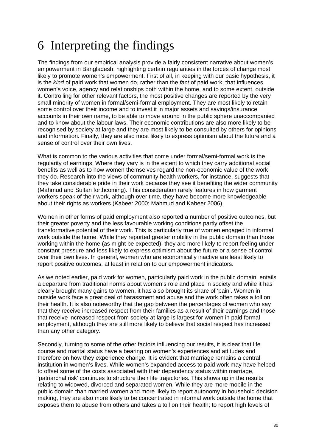# 6 Interpreting the findings

The findings from our empirical analysis provide a fairly consistent narrative about women's empowerment in Bangladesh, highlighting certain regularities in the forces of change most likely to promote women's empowerment. First of all, in keeping with our basic hypothesis, it is the *kind* of paid work that women do, rather than the *fact* of paid work, that influences women's voice, agency and relationships both within the home, and to some extent, outside it. Controlling for other relevant factors, the most positive changes are reported by the very small minority of women in formal/semi-formal employment. They are most likely to retain some control over their income and to invest it in major assets and savings/insurance accounts in their own name, to be able to move around in the public sphere unaccompanied and to know about the labour laws. Their economic contributions are also more likely to be recognised by society at large and they are most likely to be consulted by others for opinions and information. Finally, they are also most likely to express optimism about the future and a sense of control over their own lives.

What is common to the various activities that come under formal/semi-formal work is the regularity of earnings. Where they vary is in the extent to which they carry additional social benefits as well as to how women themselves regard the non-economic value of the work they do. Research into the views of community health workers, for instance, suggests that they take considerable pride in their work because they see it benefiting the wider community (Mahmud and Sultan forthcoming). This consideration rarely features in how garment workers speak of their work, although over time, they have become more knowledgeable about their rights as workers (Kabeer 2000; Mahmud and Kabeer 2006).

Women in other forms of paid employment also reported a number of positive outcomes, but their greater poverty and the less favourable working conditions partly offset the transformative potential of their work. This is particularly true of women engaged in informal work outside the home. While they reported greater mobility in the public domain than those working within the home (as might be expected), they are more likely to report feeling under constant pressure and less likely to express optimism about the future or a sense of control over their own lives. In general, women who are economically inactive are least likely to report positive outcomes, at least in relation to our empowerment indicators.

As we noted earlier, paid work for women, particularly paid work in the public domain, entails a departure from traditional norms about women's role and place in society and while it has clearly brought many gains to women, it has also brought its share of 'pain'. Women in outside work face a great deal of harassment and abuse and the work often takes a toll on their health. It is also noteworthy that the gap between the percentages of women who say that they receive increased respect from their families as a result of their earnings and those that receive increased respect from society at large is largest for women in paid formal employment, although they are still more likely to believe that social respect has increased than any other category.

Secondly*,* turning to some of the other factors influencing our results, it is clear that life course and marital status have a bearing on women's experiences and attitudes and therefore on how they experience change. It is evident that marriage remains a central institution in women's lives. While women's expanded access to paid work may have helped to offset some of the costs associated with their dependency status within marriage, 'patriarchal risk' continues to structure their life trajectories. This shows up in the results relating to widowed, divorced and separated women. While they are more mobile in the public domain than married women and more likely to report autonomy in household decision making, they are also more likely to be concentrated in informal work outside the home that exposes them to abuse from others and takes a toll on their health; to report high levels of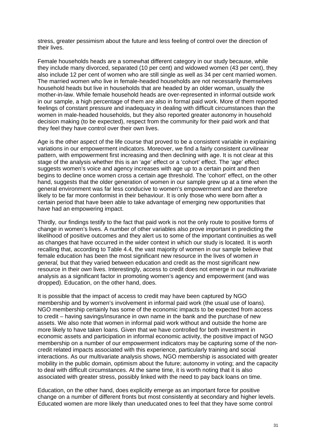stress, greater pessimism about the future and less feeling of control over the direction of their lives.

Female households heads are a somewhat different category in our study because, while they include many divorced, separated (10 per cent) and widowed women (43 per cent), they also include 12 per cent of women who are still single as well as 34 per cent married women. The married women who live in female-headed households are not necessarily themselves household heads but live in households that are headed by an older woman, usually the mother-in-law. While female household heads are over-represented in informal outside work in our sample, a high percentage of them are also in formal paid work. More of them reported feelings of constant pressure and inadequacy in dealing with difficult circumstances than the women in male-headed households, but they also reported greater autonomy in household decision making (to be expected), respect from the community for their paid work and that they feel they have control over their own lives.

Age is the other aspect of the life course that proved to be a consistent variable in explaining variations in our empowerment indicators. Moreover, we find a fairly consistent curvilinear pattern, with empowerment first increasing and then declining with age. It is not clear at this stage of the analysis whether this is an 'age' effect or a 'cohort' effect. The 'age' effect suggests women's voice and agency increases with age up to a certain point and then begins to decline once women cross a certain age threshold. The 'cohort' effect, on the other hand, suggests that the older generation of women in our sample grew up at a time when the general environment was far less conducive to women's empowerment and are therefore likely to be far more conformist in their behaviour. It is only those who were born after a certain period that have been able to take advantage of emerging new opportunities that have had an empowering impact.

Thirdly*,* our findings testify to the fact that paid work is not the only route to positive forms of change in women's lives. A number of other variables also prove important in predicting the likelihood of positive outcomes and they alert us to some of the important continuities as well as changes that have occurred in the wider context in which our study is located. It is worth recalling that, according to Table 4.4, the vast majority of women in our sample believe that female education has been the most significant new resource in the lives of women *in general,* but that they varied between education and credit as the most significant new resource in their *own* lives. Interestingly, access to credit does not emerge in our multivariate analysis as a significant factor in promoting women's agency and empowerment (and was dropped). Education, on the other hand, does.

It is possible that the impact of access to credit may have been captured by NGO membership and by women's involvement in informal paid work (the usual use of loans). NGO membership certainly has some of the economic impacts to be expected from access to credit – having savings/insurance in own name in the bank and the purchase of new assets. We also note that women in informal paid work without and outside the home are more likely to have taken loans. Given that we have controlled for both investment in economic assets and participation in informal economic activity, the positive impact of NGO membership on a number of our empowerment indicators may be capturing some of the noncredit related impacts associated with this experience, particularly training and social interactions. As our multivariate analysis shows, NGO membership is associated with greater mobility in the public domain, optimism about the future; autonomy in voting; and the capacity to deal with difficult circumstances. At the same time, it is worth noting that it is also associated with greater stress, possibly linked with the need to pay back loans on time.

Education, on the other hand, does explicitly emerge as an important force for positive change on a number of different fronts but most consistently at secondary and higher levels. Educated women are more likely than uneducated ones to feel that they have some control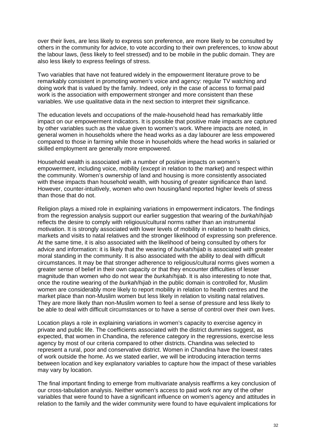over their lives, are less likely to express son preference, are more likely to be consulted by others in the community for advice, to vote according to their own preferences, to know about the labour laws, (less likely to feel stressed) and to be mobile in the public domain. They are also less likely to express feelings of stress.

Two variables that have not featured widely in the empowerment literature prove to be remarkably consistent in promoting women's voice and agency: regular TV watching and doing work that is valued by the family. Indeed, only in the case of access to formal paid work is the association with empowerment stronger and more consistent than these variables. We use qualitative data in the next section to interpret their significance.

The education levels and occupations of the male-household head has remarkably little impact on our empowerment indicators. It is possible that positive male impacts are captured by other variables such as the value given to women's work. Where impacts are noted, in general women in households where the head works as a day labourer are less empowered compared to those in farming while those in households where the head works in salaried or skilled employment are generally more empowered.

Household wealth is associated with a number of positive impacts on women's empowerment, including voice, mobility (except in relation to the market) and respect within the community. Women's ownership of land and housing is more consistently associated with these impacts than household wealth, with housing of greater significance than land. However, counter-intuitively, women who own housing/land reported higher levels of stress than those that do not.

Religion plays a mixed role in explaining variations in empowerment indicators. The findings from the regression analysis support our earlier suggestion that wearing of the *burkah*/*hijab* reflects the desire to comply with religious/cultural norms rather than an instrumental motivation. It is strongly associated with lower levels of mobility in relation to health clinics, markets and visits to natal relatives and the stronger likelihood of expressing son preference. At the same time, it is also associated with the likelihood of being consulted by others for advice and information: it is likely that the wearing of *burkah*/*hijab* is associated with greater moral standing in the community. It is also associated with the ability to deal with difficult circumstances. It may be that stronger adherence to religious/cultural norms gives women a greater sense of belief in their own capacity or that they encounter difficulties of lesser magnitude than women who do not wear the *burkah*/*hijab*. It is also interesting to note that, once the routine wearing of the *burkah*/*hijab* in the public domain is controlled for, Muslim women are considerably more likely to report mobility in relation to health centres and the market place than non-Muslim women but less likely in relation to visiting natal relatives. They are more likely than non-Muslim women to feel a sense of pressure and less likely to be able to deal with difficult circumstances or to have a sense of control over their own lives.

Location plays a role in explaining variations in women's capacity to exercise agency in private and public life. The coefficients associated with the district dummies suggest, as expected, that women in Chandina, the reference category in the regressions, exercise less agency by most of our criteria compared to other districts. Chandina was selected to represent a rural, poor and conservative district. Women in Chandina have the lowest rates of work outside the home. As we stated earlier, we will be introducing interaction terms between location and key explanatory variables to capture how the impact of these variables may vary by location.

The final important finding to emerge from multivariate analysis reaffirms a key conclusion of our cross-tabulation analysis. Neither women's access to paid work nor any of the other variables that were found to have a significant influence on women's agency and attitudes in relation to the family and the wider community were found to have equivalent implications for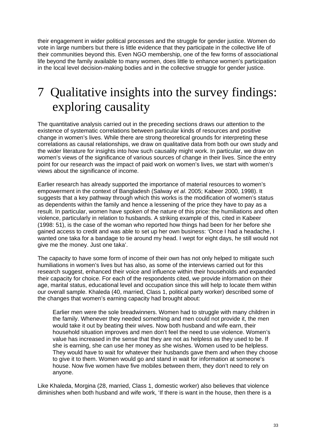their engagement in wider political processes and the struggle for gender justice. Women do vote in large numbers but there is little evidence that they participate in the collective life of their communities beyond this. Even NGO membership, one of the few forms of associational life beyond the family available to many women, does little to enhance women's participation in the local level decision-making bodies and in the collective struggle for gender justice.

# 7 Qualitative insights into the survey findings: exploring causality

The quantitative analysis carried out in the preceding sections draws our attention to the existence of systematic correlations between particular kinds of resources and positive change in women's lives. While there are strong theoretical grounds for interpreting these correlations as causal relationships, we draw on qualitative data from both our own study and the wider literature for insights into how such causality might work. In particular, we draw on women's views of the significance of various sources of change in their lives. Since the entry point for our research was the impact of paid work on women's lives, we start with women's views about the significance of income.

Earlier research has already supported the importance of material resources to women's empowerment in the context of Bangladesh (Salway *et al*. 2005; Kabeer 2000, 1998). It suggests that a key pathway through which this works is the modification of women's status as dependents within the family and hence a lessening of the price they have to pay as a result. In particular, women have spoken of the nature of this price: the humiliations and often violence, particularly in relation to husbands. A striking example of this, cited in Kabeer (1998: 51), is the case of the woman who reported how things had been for her before she gained access to credit and was able to set up her own business: 'Once I had a headache, I wanted one taka for a bandage to tie around my head. I wept for eight days, he still would not give me the money. Just one taka'.

The capacity to have some form of income of their own has not only helped to mitigate such humiliations in women's lives but has also, as some of the interviews carried out for this research suggest, enhanced their voice and influence within their households and expanded their capacity for choice. For each of the respondents cited, we provide information on their age, marital status, educational level and occupation since this will help to locate them within our overall sample. Khaleda (40, married, Class 1, political party worker) described some of the changes that women's earning capacity had brought about:

Earlier men were the sole breadwinners. Women had to struggle with many children in the family. Whenever they needed something and men could not provide it, the men would take it out by beating their wives. Now both husband and wife earn, their household situation improves and men don't feel the need to use violence. Women's value has increased in the sense that they are not as helpless as they used to be. If she is earning, she can use her money as she wishes. Women used to be helpless. They would have to wait for whatever their husbands gave them and when they choose to give it to them. Women would go and stand in wait for information at someone's house. Now five women have five mobiles between them, they don't need to rely on anyone.

Like Khaleda, Morgina (28, married, Class 1, domestic worker) also believes that violence diminishes when both husband and wife work, 'If there is want in the house, then there is a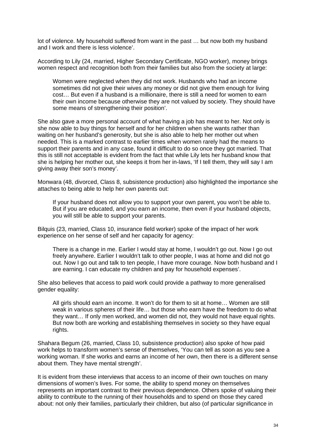lot of violence. My household suffered from want in the past … but now both my husband and I work and there is less violence'.

According to Lily (24, married, Higher Secondary Certificate, NGO worker), money brings women respect and recognition both from their families but also from the society at large:

Women were neglected when they did not work. Husbands who had an income sometimes did not give their wives any money or did not give them enough for living cost… But even if a husband is a millionaire, there is still a need for women to earn their own income because otherwise they are not valued by society. They should have some means of strengthening their position'.

She also gave a more personal account of what having a job has meant to her. Not only is she now able to buy things for herself and for her children when she wants rather than waiting on her husband's generosity, but she is also able to help her mother out when needed. This is a marked contrast to earlier times when women rarely had the means to support their parents and in any case, found it difficult to do so once they got married. That this is still not acceptable is evident from the fact that while Lily lets her husband know that she is helping her mother out, she keeps it from her in-laws, 'If I tell them, they will say I am giving away their son's money'.

Monwara (48, divorced, Class 8, subsistence production) also highlighted the importance she attaches to being able to help her own parents out:

If your husband does not allow you to support your own parent, you won't be able to. But if you are educated, and you earn an income, then even if your husband objects, you will still be able to support your parents.

Bilquis (23, married, Class 10, insurance field worker) spoke of the impact of her work experience on her sense of self and her capacity for agency:

There is a change in me. Earlier I would stay at home, I wouldn't go out. Now I go out freely anywhere. Earlier I wouldn't talk to other people, I was at home and did not go out. Now I go out and talk to ten people, I have more courage. Now both husband and I are earning. I can educate my children and pay for household expenses'.

She also believes that access to paid work could provide a pathway to more generalised gender equality:

All girls should earn an income. It won't do for them to sit at home… Women are still weak in various spheres of their life… but those who earn have the freedom to do what they want… If only men worked, and women did not, they would not have equal rights. But now both are working and establishing themselves in society so they have equal rights.

Shahara Begum (26, married, Class 10, subsistence production) also spoke of how paid work helps to transform women's sense of themselves, 'You can tell as soon as you see a working woman. If she works and earns an income of her own, then there is a different sense about them. They have mental strength'.

It is evident from these interviews that access to an income of their own touches on many dimensions of women's lives. For some, the ability to spend money on themselves represents an important contrast to their previous dependence. Others spoke of valuing their ability to contribute to the running of their households and to spend on those they cared about: not only their families, particularly their children, but also (of particular significance in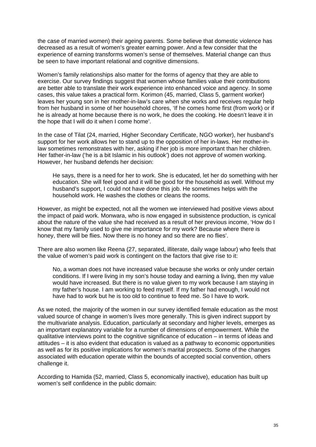the case of married women) their ageing parents. Some believe that domestic violence has decreased as a result of women's greater earning power. And a few consider that the experience of earning transforms women's sense of themselves. Material change can thus be seen to have important relational and cognitive dimensions.

Women's family relationships also matter for the forms of agency that they are able to exercise. Our survey findings suggest that women whose families value their contributions are better able to translate their work experience into enhanced voice and agency. In some cases, this value takes a practical form. Korimon (45, married, Class 5, garment worker) leaves her young son in her mother-in-law's care when she works and receives regular help from her husband in some of her household chores, 'If he comes home first (from work) or if he is already at home because there is no work, he does the cooking. He doesn't leave it in the hope that I will do it when I come home'.

In the case of Tilat (24, married, Higher Secondary Certificate, NGO worker), her husband's support for her work allows her to stand up to the opposition of her in-laws. Her mother-inlaw sometimes remonstrates with her, asking if her job is more important than her children. Her father-in-law ('he is a bit Islamic in his outlook') does not approve of women working. However, her husband defends her decision:

He says, there is a need for her to work. She is educated, let her do something with her education. She will feel good and it will be good for the household as well. Without my husband's support, I could not have done this job. He sometimes helps with the household work. He washes the clothes or cleans the rooms.

However, as might be expected, not all the women we interviewed had positive views about the impact of paid work. Monwara, who is now engaged in subsistence production, is cynical about the nature of the value she had received as a result of her previous income, 'How do I know that my family used to give me importance for my work? Because where there is honey, there will be flies. Now there is no honey and so there are no flies'.

There are also women like Reena (27, separated, illiterate, daily wage labour) who feels that the value of women's paid work is contingent on the factors that give rise to it:

No, a woman does not have increased value because she works or only under certain conditions. If I were living in my son's house today and earning a living, then my value would have increased. But there is no value given to my work because I am staying in my father's house. I am working to feed myself. If my father had enough, I would not have had to work but he is too old to continue to feed me. So I have to work.

As we noted, the majority of the women in our survey identified female education as the most valued source of change in women's lives more generally. This is given indirect support by the multivariate analysis. Education, particularly at secondary and higher levels, emerges as an important explanatory variable for a number of dimensions of empowerment. While the qualitative interviews point to the cognitive significance of education – in terms of ideas and attitudes – it is also evident that education is valued as a pathway to economic opportunities as well as for its positive implications for women's marital prospects. Some of the changes associated with education operate within the bounds of accepted social convention, others challenge it.

According to Hamida (52, married, Class 5, economically inactive), education has built up women's self confidence in the public domain: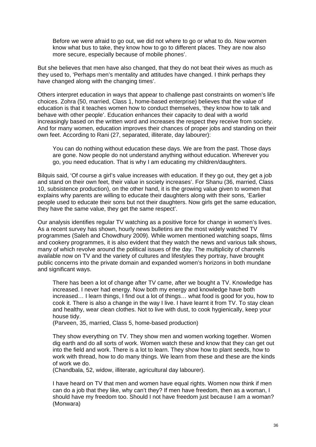Before we were afraid to go out, we did not where to go or what to do. Now women know what bus to take, they know how to go to different places. They are now also more secure, especially because of mobile phones'.

But she believes that men have also changed, that they do not beat their wives as much as they used to, 'Perhaps men's mentality and attitudes have changed. I think perhaps they have changed along with the changing times'.

Others interpret education in ways that appear to challenge past constraints on women's life choices. Zohra (50, married, Class 1, home-based enterprise) believes that the value of education is that it teaches women how to conduct themselves, 'they know how to talk and behave with other people'. Education enhances their capacity to deal with a world increasingly based on the written word and increases the respect they receive from society. And for many women, education improves their chances of proper jobs and standing on their own feet. According to Rani (27, separated, illiterate, day labourer):

You can do nothing without education these days. We are from the past. Those days are gone. Now people do not understand anything without education. Wherever you go, you need education. That is why I am educating my children/daughters.

Bilquis said, 'Of course a girl's value increases with education. If they go out, they get a job and stand on their own feet, their value in society increases'. For Shanu (36, married, Class 10, subsistence production), on the other hand, it is the growing value given to women that explains why parents are willing to educate their daughters along with their sons, 'Earlier people used to educate their sons but not their daughters. Now girls get the same education, they have the same value, they get the same respect'.

Our analysis identifies regular TV watching as a positive force for change in women's lives. As a recent survey has shown, hourly news bulletins are the most widely watched TV programmes (Saleh and Chowdhury 2009). While women mentioned watching soaps, films and cookery programmes, it is also evident that they watch the news and various talk shows, many of which revolve around the political issues of the day. The multiplicity of channels available now on TV and the variety of cultures and lifestyles they portray, have brought public concerns into the private domain and expanded women's horizons in both mundane and significant ways.

There has been a lot of change after TV came, after we bought a TV. Knowledge has increased. I never had energy. Now both my energy and knowledge have both increased… I learn things, I find out a lot of things… what food is good for you, how to cook it. There is also a change in the way I live. I have learnt it from TV. To stay clean and healthy, wear clean clothes. Not to live with dust, to cook hygienically, keep your house tidy.

(Parveen, 35, married, Class 5, home-based production)

They show everything on TV. They show men and women working together. Women dig earth and do all sorts of work. Women watch these and know that they can get out into the field and work. There is a lot to learn. They show how to plant seeds, how to work with thread, how to do many things. We learn from these and these are the kinds of work we do.

(Chandbala, 52, widow, illiterate, agricultural day labourer).

I have heard on TV that men and women have equal rights. Women now think if men can do a job that they like, why can't they? If men have freedom, then as a woman, I should have my freedom too. Should I not have freedom just because I am a woman? (Monwara)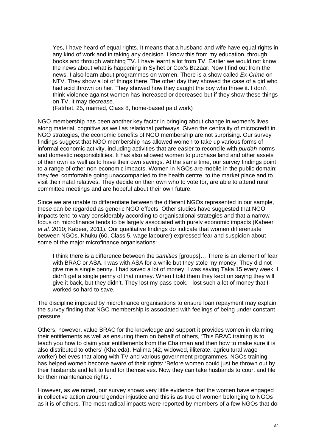Yes, I have heard of equal rights. It means that a husband and wife have equal rights in any kind of work and in taking any decision. I know this from my education, through books and through watching TV. I have learnt a lot from TV. Earlier we would not know the news about what is happening in Sylhet or Cox's Bazaar. Now I find out from the news. I also learn about programmes on women. There is a show called *Ex-Crime* on NTV. They show a lot of things there. The other day they showed the case of a girl who had acid thrown on her. They showed how they caught the boy who threw it. I don't think violence against women has increased or decreased but if they show these things on TV, it may decrease.

(Fatrhat, 25, married, Class 8, home-based paid work)

NGO membership has been another key factor in bringing about change in women's lives along material, cognitive as well as relational pathways. Given the centrality of microcredit in NGO strategies, the economic benefits of NGO membership are not surprising. Our survey findings suggest that NGO membership has allowed women to take up various forms of informal economic activity, including activities that are easier to reconcile with *purdah* norms and domestic responsibilities. It has also allowed women to purchase land and other assets of their own as well as to have their own savings. At the same time, our survey findings point to a range of other non-economic impacts. Women in NGOs are mobile in the public domain: they feel comfortable going unaccompanied to the health centre, to the market place and to visit their natal relatives. They decide on their own who to vote for, are able to attend rural committee meetings and are hopeful about their own future.

Since we are unable to differentiate between the different NGOs represented in our sample, these can be regarded as generic NGO effects. Other studies have suggested that NGO impacts tend to vary considerably according to organisational strategies and that a narrow focus on microfinance tends to be largely associated with purely economic impacts (Kabeer *et al.* 2010; Kabeer, 2011). Our qualitative findings do indicate that women differentiate between NGOs. Khuku (60, Class 5, wage labourer) expressed fear and suspicion about some of the major microfinance organisations:

I think there is a difference between the *samities* [groups]… There is an element of fear with BRAC or ASA. I was with ASA for a while but they stole my money. They did not give me a single penny. I had saved a lot of money. I was saving Taka 15 every week. I didn't get a single penny of that money. When I told them they kept on saying they will give it back, but they didn't. They lost my pass book. I lost such a lot of money that I worked so hard to save.

The discipline imposed by microfinance organisations to ensure loan repayment may explain the survey finding that NGO membership is associated with feelings of being under constant pressure.

Others, however, value BRAC for the knowledge and support it provides women in claiming their entitlements as well as ensuring them on behalf of others, 'This BRAC training is to teach you how to claim your entitlements from the Chairman and then how to make sure it is also distributed to others' (Khaleda). Halima (42, widowed, illiterate, agricultural wage worker) believes that along with TV and various government programmes, NGOs training has helped women become aware of their rights: 'Before women could just be thrown out by their husbands and left to fend for themselves. Now they can take husbands to court and file for their maintenance rights'.

However, as we noted, our survey shows very little evidence that the women have engaged in collective action around gender injustice and this is as true of women belonging to NGOs as it is of others. The most radical impacts were reported by members of a few NGOs that do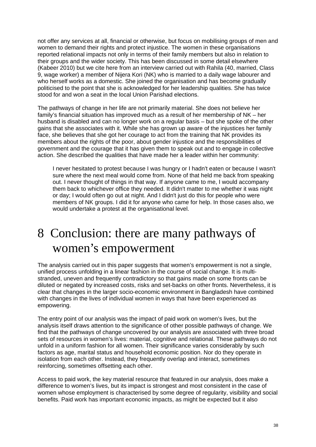not offer any services at all, financial or otherwise, but focus on mobilising groups of men and women to demand their rights and protect injustice. The women in these organisations reported relational impacts not only in terms of their family members but also in relation to their groups and the wider society. This has been discussed in some detail elsewhere (Kabeer 2010) but we cite here from an interview carried out with Rahila (40, married, Class 9, wage worker) a member of Nijera Kori (NK) who is married to a daily wage labourer and who herself works as a domestic. She joined the organisation and has become gradually politicised to the point that she is acknowledged for her leadership qualities. She has twice stood for and won a seat in the local Union Parishad elections.

The pathways of change in her life are not primarily material. She does not believe her family's financial situation has improved much as a result of her membership of NK – her husband is disabled and can no longer work on a regular basis – but she spoke of the other gains that she associates with it. While she has grown up aware of the injustices her family face, she believes that she got her courage to act from the training that NK provides its members about the rights of the poor, about gender injustice and the responsibilities of government and the courage that it has given them to speak out and to engage in collective action. She described the qualities that have made her a leader within her community:

I never hesitated to protest because I was hungry or I hadn't eaten or because I wasn't sure where the next meal would come from. None of that held me back from speaking out. I never thought of things in that way. If anyone came to me, I would accompany them back to whichever office they needed. It didn't matter to me whether it was night or day; I would often go out at night. And I didn't just do this for people who were members of NK groups. I did it for anyone who came for help. In those cases also, we would undertake a protest at the organisational level.

## 8 Conclusion: there are many pathways of women's empowerment

The analysis carried out in this paper suggests that women's empowerment is not a single, unified process unfolding in a linear fashion in the course of social change. It is multistranded, uneven and frequently contradictory so that gains made on some fronts can be diluted or negated by increased costs, risks and set-backs on other fronts. Nevertheless, it is clear that changes in the larger socio-economic environment in Bangladesh have combined with changes in the lives of individual women in ways that have been experienced as empowering.

The entry point of our analysis was the impact of paid work on women's lives, but the analysis itself draws attention to the significance of other possible pathways of change. We find that the pathways of change uncovered by our analysis are associated with three broad sets of resources in women's lives: material, cognitive and relational. These pathways do not unfold in a uniform fashion for all women. Their significance varies considerably by such factors as age, marital status and household economic position. Nor do they operate in isolation from each other. Instead, they frequently overlap and interact, sometimes reinforcing, sometimes offsetting each other.

Access to paid work, the key material resource that featured in our analysis, does make a difference to women's lives, but its impact is strongest and most consistent in the case of women whose employment is characterised by some degree of regularity, visibility and social benefits. Paid work has important economic impacts, as might be expected but it also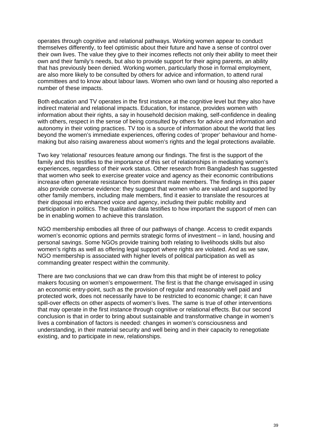operates through cognitive and relational pathways. Working women appear to conduct themselves differently, to feel optimistic about their future and have a sense of control over their own lives. The value they give to their incomes reflects not only their ability to meet their own and their family's needs, but also to provide support for their aging parents, an ability that has previously been denied. Working women, particularly those in formal employment, are also more likely to be consulted by others for advice and information, to attend rural committees and to know about labour laws. Women who own land or housing also reported a number of these impacts.

Both education and TV operates in the first instance at the cognitive level but they also have indirect material and relational impacts. Education, for instance, provides women with information about their rights, a say in household decision making, self-confidence in dealing with others, respect in the sense of being consulted by others for advice and information and autonomy in their voting practices. TV too is a source of information about the world that lies beyond the women's immediate experiences, offering codes of 'proper' behaviour and homemaking but also raising awareness about women's rights and the legal protections available.

Two key 'relational' resources feature among our findings. The first is the support of the family and this testifies to the importance of this set of relationships in mediating women's experiences, regardless of their work status. Other research from Bangladesh has suggested that women who seek to exercise greater voice and agency as their economic contributions increase often generate resistance from dominant male members. The findings in this paper also provide converse evidence: they suggest that women who are valued and supported by other family members, including male members, find it easier to translate the resources at their disposal into enhanced voice and agency, including their public mobility and participation in politics. The qualitative data testifies to how important the support of men can be in enabling women to achieve this translation.

NGO membership embodies all three of our pathways of change. Access to credit expands women's economic options and permits strategic forms of investment – in land, housing and personal savings. Some NGOs provide training both relating to livelihoods skills but also women's rights as well as offering legal support where rights are violated. And as we saw, NGO membership is associated with higher levels of political participation as well as commanding greater respect within the community.

There are two conclusions that we can draw from this that might be of interest to policy makers focusing on women's empowerment. The first is that the change envisaged in using an economic entry-point, such as the provision of regular and reasonably well paid and protected work, does not necessarily have to be restricted to economic change; it can have spill-over effects on other aspects of women's lives. The same is true of other interventions that may operate in the first instance through cognitive or relational effects. But our second conclusion is that in order to bring about sustainable and transformative change in women's lives a combination of factors is needed: changes in women's consciousness and understanding, in their material security and well being and in their capacity to renegotiate existing, and to participate in new, relationships.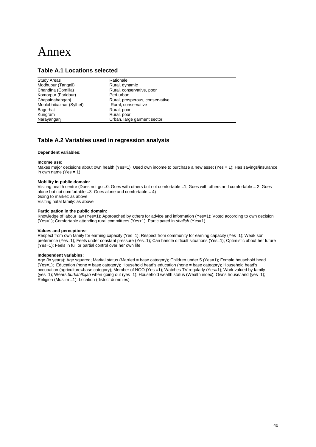## Annex

#### **Table A.1 Locations selected**

| <b>Study Areas</b>      | Rationale                       |
|-------------------------|---------------------------------|
| Modhupur (Tangail)      | Rural, dynamic                  |
| Chandina (Comilla)      | Rural, conservative, poor       |
| Komorpur (Faridpur)     | Peri-urban                      |
| Chapainababganj         | Rural, prosperous, conservative |
| Moulobhibazaar (Sylhet) | Rural, conservative             |
| Bagerhat                | Rural, poor                     |
| Kurigram                | Rural, poor                     |
| Narayanganj             | Urban, large garment sector     |

#### **Table A.2 Variables used in regression analysis**

#### **Dependent variables:**

#### **Income use:**

Makes major decisions about own health (Yes=1); Used own income to purchase a new asset (Yes = 1); Has savings/insurance in own name ( $Yes = 1$ )

#### **Mobility in public domain:**

Visiting health centre (Does not go =0; Goes with others but not comfortable =1; Goes with others and comfortable = 2; Goes alone but not comfortable =3; Goes alone and comfortable =  $4$ ) Going to market: as above Visiting natal family: as above

#### **Participation in the public domain:**

Knowledge of labour law (Yes=1); Approached by others for advice and information (Yes=1); Voted according to own decision (Yes=1); Comfortable attending rural committees (Yes+1); Participated in *shalish* (Yes=1)

#### **Values and perceptions:**

Respect from own family for earning capacity (Yes=1); Respect from community for earning capacity (Yes=1); Weak son preference (Yes=1); Feels under constant pressure (Yes=1); Can handle difficult situations (Yes=1); Optimistic about her future (Yes=1); Feels in full or partial control over her own life

#### **Independent variables:**

Age (in years); Age squared; Marital status (Married = base category); Children under 5 (Yes=1); Female household head (Yes=1); Education (none = base category); Household head's education (none = base category); Household head's occupation (agriculture=base category); Member of NGO (Yes =1); Watches TV regularly (Yes=1); Work valued by family (yes=1); Wears *burkah*/*hijab* when going out (yes=1); Household wealth status (Wealth index); Owns house/land (yes=1); Religion (Muslim =1); Location (district dummies)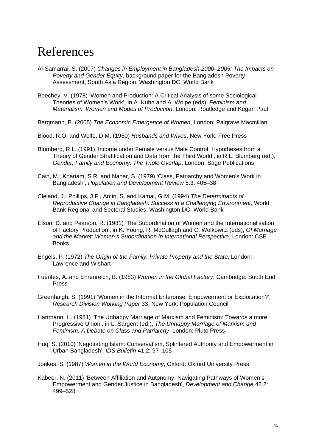## References

- Al-Samarrai, S. (2007) *Changes in Employment in Bangladesh 2000–2005: The Impacts on Poverty and Gender Equity*, background paper for the Bangladesh Poverty Assessment, South Asia Region, Washington DC: World Bank
- Beechey, V. (1978) 'Women and Production: A Critical Analysis of some Sociological Theories of Women's Work', in A. Kuhn and A. Wolpe (eds), *Feminism and Materialism. Women and Modes of Production*, London: Routledge and Kegan Paul

Bergmann, B. (2005) *The Economic Emergence of Women*, London: Palgrave Macmillan

Blood, R.O. and Wolfe, D.M. (1960) *Husbands and Wives*, New York: Free Press

- Blumberg, R.L. (1991) 'Income under Female versus Male Control: Hypotheses from a Theory of Gender Stratification and Data from the Third World', in R.L. Blumberg (ed.), *Gender, Family and Economy: The Triple Overlap*, London: Sage Publications
- Cain, M.; Khanam, S.R. and Nahar, S. (1979) 'Class, Patriarchy and Women's Work in Bangladesh', *Population and Development Review* 5.3: 405–38
- Cleland, J.; Phillips, J.F., Amin, S. and Kamal, G.M. (1994) *The Determinants of Reproductive Change in Bangladesh. Success in a Challenging Environment*, World Bank Regional and Sectoral Studies, Washington DC: World Bank
- Elson, D. and Pearson, R. (1981) 'The Subordination of Women and the Internationalisation of Factory Production', in K. Young, R. McCullagh and C. Wolkowitz (eds), *Of Marriage and the Market: Women's Subordination in International Perspective*, London: CSE **Books**
- Engels, F. (1972) *The Origin of the Family, Private Property and the State*, London: Lawrence and Wishart
- Fuentes, A. and Ehrenreich, B. (1983) *Women in the Global Factory*, Cambridge: South End Press
- Greenhalgh, S. (1991) 'Women in the Informal Enterprise: Empowerment or Exploitation?', *Research Division Working Paper* 33, New York: Population Council
- Hartmann, H. (1981) 'The Unhappy Marriage of Marxism and Feminism: Towards a more Progressive Union', in L. Sargent (ed.), *The Unhappy Marriage of Marxism and Feminism: A Debate on Class and Patriarchy*, London: Pluto Press
- Huq, S. (2010) 'Negotiating Islam: Conservatism, Splintered Authority and Empowerment in Urban Bangladesh', *IDS Bulletin* 41.2: 97–105
- Joekes, S. (1987) *Women in the World Economy*, Oxford: Oxford University Press
- Kabeer, N. (2011) 'Between Affiliation and Autonomy. Navigating Pathways of Women's Empowerment and Gender Justice in Bangladesh', *Development and Change* 42.2: 499–528